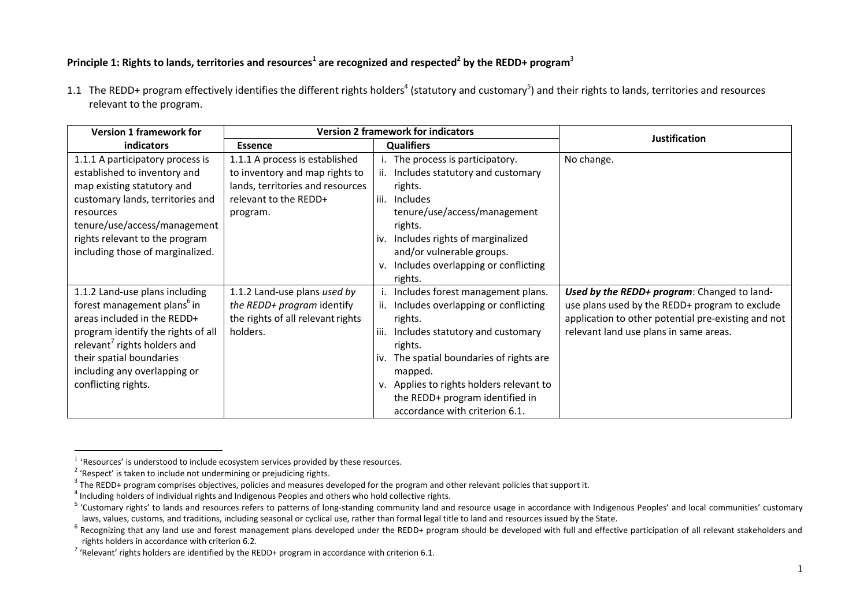## **Principle 1: Rights to lands, territories and resources<sup>1</sup> are recognized and respected<sup>2</sup> by the REDD+ program**<sup>3</sup>

1.1 The REDD+ program effectively identifies the different rights holders<sup>4</sup> (statutory and customary<sup>5</sup>) and their rights to lands, territories and resources relevant to the program.

| <b>Version 1 framework for</b>           | <b>Version 2 framework for indicators</b> |                                             | <b>Justification</b>                                |
|------------------------------------------|-------------------------------------------|---------------------------------------------|-----------------------------------------------------|
| <b>indicators</b>                        | <b>Essence</b>                            | <b>Qualifiers</b>                           |                                                     |
| 1.1.1 A participatory process is         | 1.1.1 A process is established            | i. The process is participatory.            | No change.                                          |
| established to inventory and             | to inventory and map rights to            | Includes statutory and customary<br>ii.     |                                                     |
| map existing statutory and               | lands, territories and resources          | rights.                                     |                                                     |
| customary lands, territories and         | relevant to the REDD+                     | Includes<br>iii.                            |                                                     |
| resources                                | program.                                  | tenure/use/access/management                |                                                     |
| tenure/use/access/management             |                                           | rights.                                     |                                                     |
| rights relevant to the program           |                                           | Includes rights of marginalized<br>iv.      |                                                     |
| including those of marginalized.         |                                           | and/or vulnerable groups.                   |                                                     |
|                                          |                                           | Includes overlapping or conflicting<br>v.   |                                                     |
|                                          |                                           | rights.                                     |                                                     |
| 1.1.2 Land-use plans including           | 1.1.2 Land-use plans used by              | Includes forest management plans.           | Used by the REDD+ program: Changed to land-         |
| forest management plans <sup>6</sup> in  | the REDD+ program identify                | Includes overlapping or conflicting         | use plans used by the REDD+ program to exclude      |
| areas included in the REDD+              | the rights of all relevant rights         | rights.                                     | application to other potential pre-existing and not |
| program identify the rights of all       | holders.                                  | Includes statutory and customary<br>iii.    | relevant land use plans in same areas.              |
| relevant <sup>7</sup> rights holders and |                                           | rights.                                     |                                                     |
| their spatial boundaries                 |                                           | The spatial boundaries of rights are<br>iv. |                                                     |
| including any overlapping or             |                                           | mapped.                                     |                                                     |
| conflicting rights.                      |                                           | Applies to rights holders relevant to<br>v. |                                                     |
|                                          |                                           | the REDD+ program identified in             |                                                     |
|                                          |                                           | accordance with criterion 6.1.              |                                                     |

 1 'Resources' is understood to include ecosystem services provided by these resources.

<sup>&</sup>lt;sup>2</sup> 'Respect' is taken to include not undermining or prejudicing rights.

 $3$  The REDD+ program comprises objectives, policies and measures developed for the program and other relevant policies that support it.

 $^4$  Including holders of individual rights and Indigenous Peoples and others who hold collective rights.

<sup>&</sup>lt;sup>5</sup> 'Customary rights' to lands and resources refers to patterns of long-standing community land and resource usage in accordance with Indigenous Peoples' and local communities' customary laws, values, customs, and traditions, including seasonal or cyclical use, rather than formal legal title to land and resources issued by the State.

<sup>&</sup>lt;sup>6</sup> Recognizing that any land use and forest management plans developed under the REDD+ program should be developed with full and effective participation of all relevant stakeholders and rights holders in accordance with criterion 6.2.

 $^7$  'Relevant' rights holders are identified by the REDD+ program in accordance with criterion 6.1.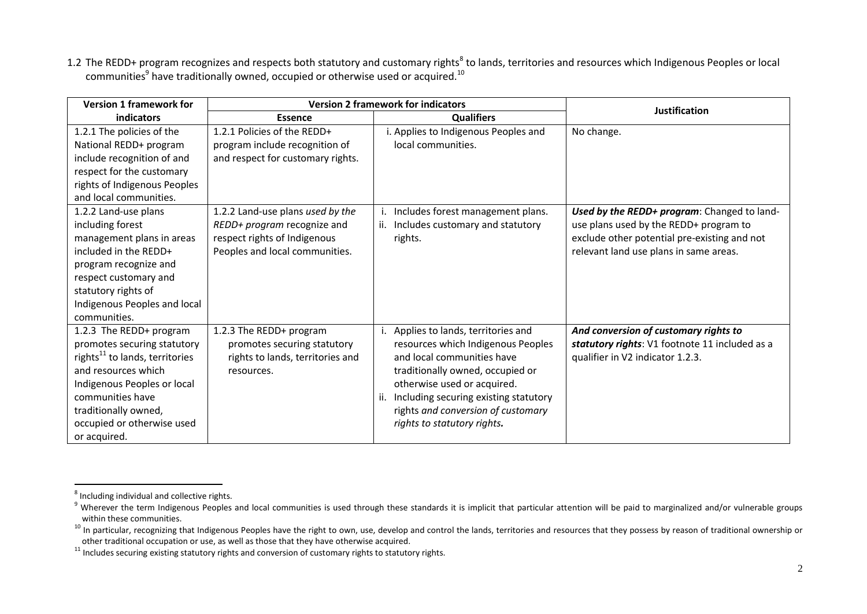1.2 The REDD+ program recognizes and respects both statutory and customary rights<sup>8</sup> to lands, territories and resources which Indigenous Peoples or local communities $^9$  have traditionally owned, occupied or otherwise used or acquired. $^{10}$ 

| <b>Version 1 framework for</b>                                                                                                                                                                                                                       | <b>Version 2 framework for indicators</b>                                                                                         |                                                                                                                                                                                                                                                                                                  | <b>Justification</b>                                                                                                                                                            |
|------------------------------------------------------------------------------------------------------------------------------------------------------------------------------------------------------------------------------------------------------|-----------------------------------------------------------------------------------------------------------------------------------|--------------------------------------------------------------------------------------------------------------------------------------------------------------------------------------------------------------------------------------------------------------------------------------------------|---------------------------------------------------------------------------------------------------------------------------------------------------------------------------------|
| indicators                                                                                                                                                                                                                                           | <b>Essence</b>                                                                                                                    | <b>Qualifiers</b>                                                                                                                                                                                                                                                                                |                                                                                                                                                                                 |
| 1.2.1 The policies of the<br>National REDD+ program<br>include recognition of and<br>respect for the customary<br>rights of Indigenous Peoples<br>and local communities.                                                                             | 1.2.1 Policies of the REDD+<br>program include recognition of<br>and respect for customary rights.                                | i. Applies to Indigenous Peoples and<br>local communities.                                                                                                                                                                                                                                       | No change.                                                                                                                                                                      |
| 1.2.2 Land-use plans<br>including forest<br>management plans in areas<br>included in the REDD+<br>program recognize and<br>respect customary and<br>statutory rights of<br>Indigenous Peoples and local<br>communities.                              | 1.2.2 Land-use plans used by the<br>REDD+ program recognize and<br>respect rights of Indigenous<br>Peoples and local communities. | Includes forest management plans.<br>ii. Includes customary and statutory<br>rights.                                                                                                                                                                                                             | Used by the REDD+ program: Changed to land-<br>use plans used by the REDD+ program to<br>exclude other potential pre-existing and not<br>relevant land use plans in same areas. |
| 1.2.3 The REDD+ program<br>promotes securing statutory<br>rights <sup>11</sup> to lands, territories<br>and resources which<br>Indigenous Peoples or local<br>communities have<br>traditionally owned,<br>occupied or otherwise used<br>or acquired. | 1.2.3 The REDD+ program<br>promotes securing statutory<br>rights to lands, territories and<br>resources.                          | i. Applies to lands, territories and<br>resources which Indigenous Peoples<br>and local communities have<br>traditionally owned, occupied or<br>otherwise used or acquired.<br>Including securing existing statutory<br>ii.<br>rights and conversion of customary<br>rights to statutory rights. | And conversion of customary rights to<br>statutory rights: V1 footnote 11 included as a<br>qualifier in V2 indicator 1.2.3.                                                     |

**THE CONSTREE**<br>Throuding individual and collective rights.

<sup>9</sup> Wherever the term Indigenous Peoples and local communities is used through these standards it is implicit that particular attention will be paid to marginalized and/or vulnerable groups within these communities.

<sup>&</sup>lt;sup>10</sup> In particular, recognizing that Indigenous Peoples have the right to own, use, develop and control the lands, territories and resources that they possess by reason of traditional ownership or other traditional occupation or use, as well as those that they have otherwise acquired.

 $11$  Includes securing existing statutory rights and conversion of customary rights to statutory rights.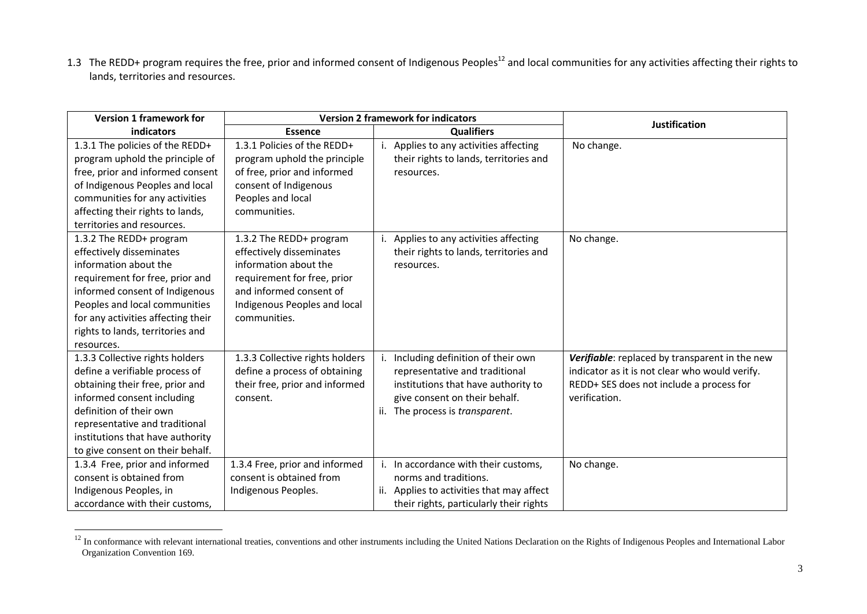1.3 The REDD+ program requires the free, prior and informed consent of Indigenous Peoples<sup>12</sup> and local communities for any activities affecting their rights to lands, territories and resources.

| <b>Version 1 framework for</b>                                                                                                                                                                                                                                             |                                                                                                                                                                                        | <b>Version 2 framework for indicators</b>                                                                                                                                      |                                                                                                                                                               |
|----------------------------------------------------------------------------------------------------------------------------------------------------------------------------------------------------------------------------------------------------------------------------|----------------------------------------------------------------------------------------------------------------------------------------------------------------------------------------|--------------------------------------------------------------------------------------------------------------------------------------------------------------------------------|---------------------------------------------------------------------------------------------------------------------------------------------------------------|
| <b>indicators</b>                                                                                                                                                                                                                                                          | <b>Essence</b>                                                                                                                                                                         | <b>Qualifiers</b>                                                                                                                                                              | <b>Justification</b>                                                                                                                                          |
| 1.3.1 The policies of the REDD+<br>program uphold the principle of<br>free, prior and informed consent<br>of Indigenous Peoples and local<br>communities for any activities<br>affecting their rights to lands,<br>territories and resources.                              | 1.3.1 Policies of the REDD+<br>program uphold the principle<br>of free, prior and informed<br>consent of Indigenous<br>Peoples and local<br>communities.                               | Applies to any activities affecting<br>their rights to lands, territories and<br>resources.                                                                                    | No change.                                                                                                                                                    |
| 1.3.2 The REDD+ program<br>effectively disseminates<br>information about the<br>requirement for free, prior and<br>informed consent of Indigenous<br>Peoples and local communities<br>for any activities affecting their<br>rights to lands, territories and<br>resources. | 1.3.2 The REDD+ program<br>effectively disseminates<br>information about the<br>requirement for free, prior<br>and informed consent of<br>Indigenous Peoples and local<br>communities. | Applies to any activities affecting<br>their rights to lands, territories and<br>resources.                                                                                    | No change.                                                                                                                                                    |
| 1.3.3 Collective rights holders<br>define a verifiable process of<br>obtaining their free, prior and<br>informed consent including<br>definition of their own<br>representative and traditional<br>institutions that have authority<br>to give consent on their behalf.    | 1.3.3 Collective rights holders<br>define a process of obtaining<br>their free, prior and informed<br>consent.                                                                         | Including definition of their own<br>representative and traditional<br>institutions that have authority to<br>give consent on their behalf.<br>ii. The process is transparent. | Verifiable: replaced by transparent in the new<br>indicator as it is not clear who would verify.<br>REDD+ SES does not include a process for<br>verification. |
| 1.3.4 Free, prior and informed<br>consent is obtained from<br>Indigenous Peoples, in<br>accordance with their customs,                                                                                                                                                     | 1.3.4 Free, prior and informed<br>consent is obtained from<br>Indigenous Peoples.                                                                                                      | i. In accordance with their customs,<br>norms and traditions.<br>ii. Applies to activities that may affect<br>their rights, particularly their rights                          | No change.                                                                                                                                                    |

<sup>&</sup>lt;sup>12</sup> In conformance with relevant international treaties, conventions and other instruments including the United Nations Declaration on the Rights of Indigenous Peoples and International Labor Organization Convention 169.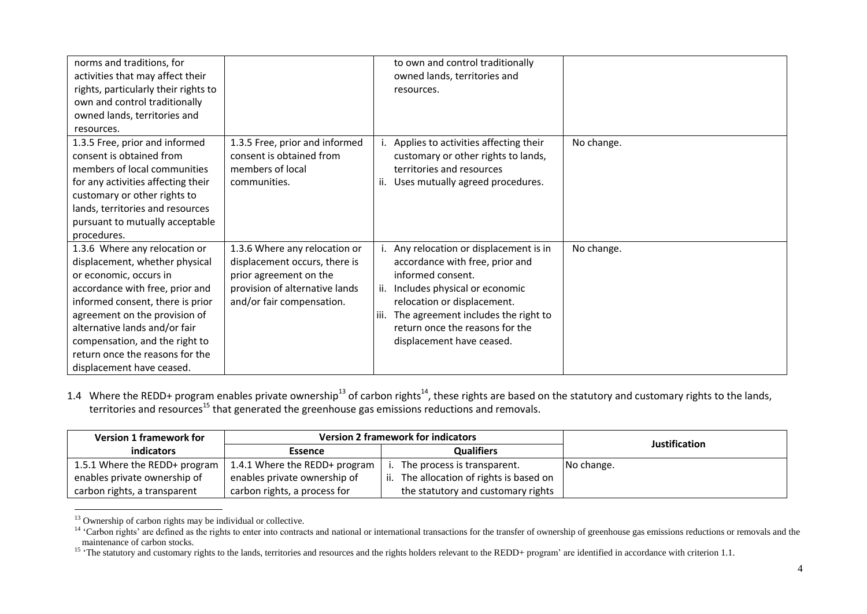| norms and traditions, for<br>activities that may affect their<br>rights, particularly their rights to<br>own and control traditionally<br>owned lands, territories and<br>resources.                                                                                                                                                 |                                                                                                                                                         | to own and control traditionally<br>owned lands, territories and<br>resources.                                                                                                                                                                                                    |            |
|--------------------------------------------------------------------------------------------------------------------------------------------------------------------------------------------------------------------------------------------------------------------------------------------------------------------------------------|---------------------------------------------------------------------------------------------------------------------------------------------------------|-----------------------------------------------------------------------------------------------------------------------------------------------------------------------------------------------------------------------------------------------------------------------------------|------------|
| 1.3.5 Free, prior and informed<br>consent is obtained from<br>members of local communities<br>for any activities affecting their<br>customary or other rights to<br>lands, territories and resources<br>pursuant to mutually acceptable<br>procedures.                                                                               | 1.3.5 Free, prior and informed<br>consent is obtained from<br>members of local<br>communities.                                                          | Applies to activities affecting their<br>customary or other rights to lands,<br>territories and resources<br>Uses mutually agreed procedures.<br>ii.                                                                                                                              | No change. |
| 1.3.6 Where any relocation or<br>displacement, whether physical<br>or economic, occurs in<br>accordance with free, prior and<br>informed consent, there is prior<br>agreement on the provision of<br>alternative lands and/or fair<br>compensation, and the right to<br>return once the reasons for the<br>displacement have ceased. | 1.3.6 Where any relocation or<br>displacement occurs, there is<br>prior agreement on the<br>provision of alternative lands<br>and/or fair compensation. | Any relocation or displacement is in<br>accordance with free, prior and<br>informed consent.<br>ii. Includes physical or economic<br>relocation or displacement.<br>The agreement includes the right to<br>l iii.<br>return once the reasons for the<br>displacement have ceased. | No change. |

1.4 Where the REDD+ program enables private ownership<sup>13</sup> of carbon rights<sup>14</sup>, these rights are based on the statutory and customary rights to the lands, territories and resources<sup>15</sup> that generated the greenhouse gas emissions reductions and removals.

| <b>Version 1 framework for</b> | <b>Version 2 framework for indicators</b> |                                      | <b>Justification</b> |
|--------------------------------|-------------------------------------------|--------------------------------------|----------------------|
| <i>indicators</i>              | <b>Essence</b>                            | <b>Qualifiers</b>                    |                      |
| 1.5.1 Where the REDD+ program  | 1.4.1 Where the REDD+ program             | The process is transparent.          | No change.           |
| enables private ownership of   | enables private ownership of              | The allocation of rights is based on |                      |
| carbon rights, a transparent   | carbon rights, a process for              | the statutory and customary rights   |                      |

<sup>&</sup>lt;sup>13</sup> Ownership of carbon rights may be individual or collective.

<sup>&</sup>lt;sup>14</sup> 'Carbon rights' are defined as the rights to enter into contracts and national or international transactions for the transfer of ownership of greenhouse gas emissions reductions or removals and the maintenance of carbon stocks.

<sup>&</sup>lt;sup>15</sup> 'The statutory and customary rights to the lands, territories and resources and the rights holders relevant to the REDD+ program' are identified in accordance with criterion 1.1.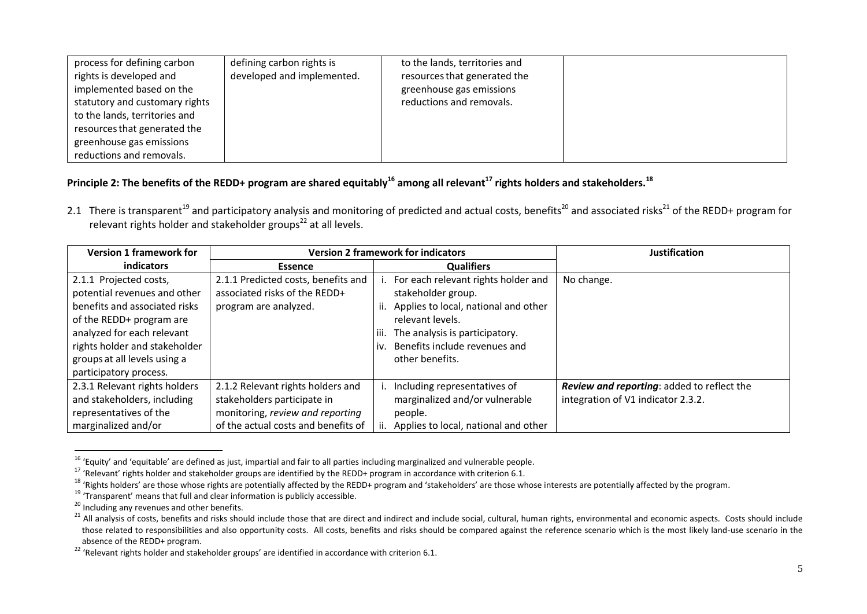| process for defining carbon    | defining carbon rights is  | to the lands, territories and |  |
|--------------------------------|----------------------------|-------------------------------|--|
| rights is developed and        | developed and implemented. | resources that generated the  |  |
| implemented based on the       |                            | greenhouse gas emissions      |  |
| statutory and customary rights |                            | reductions and removals.      |  |
| to the lands, territories and  |                            |                               |  |
| resources that generated the   |                            |                               |  |
| greenhouse gas emissions       |                            |                               |  |
| reductions and removals.       |                            |                               |  |

# **Principle 2: The benefits of the REDD+ program are shared equitably<sup>16</sup> among all relevant<sup>17</sup> rights holders and stakeholders.<sup>18</sup>**

2.1 There is transparent<sup>19</sup> and participatory analysis and monitoring of predicted and actual costs, benefits<sup>20</sup> and associated risks<sup>21</sup> of the REDD+ program for relevant rights holder and stakeholder groups<sup>22</sup> at all levels.

| <b>Version 1 framework for</b>                                                                                                                                                                                                               |                                                                                                                                             | <b>Version 2 framework for indicators</b>                                                                                                                                                                                         | <b>Justification</b>                                                             |
|----------------------------------------------------------------------------------------------------------------------------------------------------------------------------------------------------------------------------------------------|---------------------------------------------------------------------------------------------------------------------------------------------|-----------------------------------------------------------------------------------------------------------------------------------------------------------------------------------------------------------------------------------|----------------------------------------------------------------------------------|
| indicators                                                                                                                                                                                                                                   | <b>Essence</b>                                                                                                                              | <b>Qualifiers</b>                                                                                                                                                                                                                 |                                                                                  |
| 2.1.1 Projected costs,<br>potential revenues and other<br>benefits and associated risks<br>of the REDD+ program are<br>analyzed for each relevant<br>rights holder and stakeholder<br>groups at all levels using a<br>participatory process. | 2.1.1 Predicted costs, benefits and<br>associated risks of the REDD+<br>program are analyzed.                                               | For each relevant rights holder and<br>stakeholder group.<br>Applies to local, national and other<br>ii.<br>relevant levels.<br>iii.<br>The analysis is participatory.<br>Benefits include revenues and<br>İV.<br>other benefits. | No change.                                                                       |
| 2.3.1 Relevant rights holders<br>and stakeholders, including<br>representatives of the<br>marginalized and/or                                                                                                                                | 2.1.2 Relevant rights holders and<br>stakeholders participate in<br>monitoring, review and reporting<br>of the actual costs and benefits of | i. Including representatives of<br>marginalized and/or vulnerable<br>people.<br>Applies to local, national and other                                                                                                              | Review and reporting: added to reflect the<br>integration of V1 indicator 2.3.2. |

<sup>&</sup>lt;sup>16</sup> 'Equity' and 'equitable' are defined as just, impartial and fair to all parties including marginalized and vulnerable people.

<sup>17</sup> 'Relevant' rights holder and stakeholder groups are identified by the REDD+ program in accordance with criterion 6.1.

<sup>&</sup>lt;sup>18</sup> 'Rights holders' are those whose rights are potentially affected by the REDD+ program and 'stakeholders' are those whose interests are potentially affected by the program.

 $19$  'Transparent' means that full and clear information is publicly accessible.

<sup>&</sup>lt;sup>20</sup> Including any revenues and other benefits.

<sup>&</sup>lt;sup>21</sup> All analysis of costs, benefits and risks should include those that are direct and indirect and include social, cultural, human rights, environmental and economic aspects. Costs should include those related to responsibilities and also opportunity costs. All costs, benefits and risks should be compared against the reference scenario which is the most likely land-use scenario in the absence of the REDD+ program.

<sup>&</sup>lt;sup>22</sup> 'Relevant rights holder and stakeholder groups' are identified in accordance with criterion 6.1.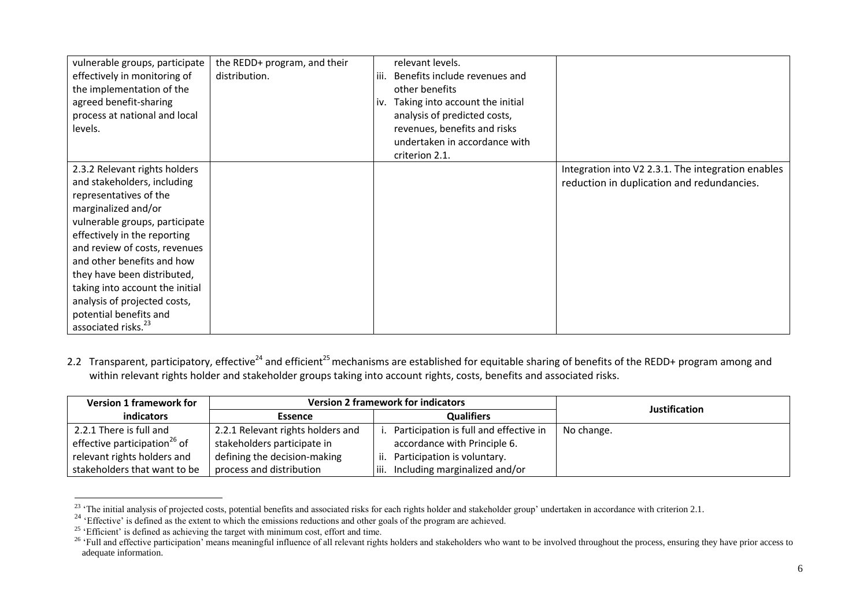| vulnerable groups, participate<br>effectively in monitoring of<br>the implementation of the<br>agreed benefit-sharing<br>process at national and local<br>levels.                                                                                                                                                                                                                                             | the REDD+ program, and their<br>distribution. | relevant levels.<br>Benefits include revenues and<br>iii.<br>other benefits<br>Taking into account the initial<br>iv.<br>analysis of predicted costs,<br>revenues, benefits and risks<br>undertaken in accordance with<br>criterion 2.1. |                                                                                                  |
|---------------------------------------------------------------------------------------------------------------------------------------------------------------------------------------------------------------------------------------------------------------------------------------------------------------------------------------------------------------------------------------------------------------|-----------------------------------------------|------------------------------------------------------------------------------------------------------------------------------------------------------------------------------------------------------------------------------------------|--------------------------------------------------------------------------------------------------|
| 2.3.2 Relevant rights holders<br>and stakeholders, including<br>representatives of the<br>marginalized and/or<br>vulnerable groups, participate<br>effectively in the reporting<br>and review of costs, revenues<br>and other benefits and how<br>they have been distributed,<br>taking into account the initial<br>analysis of projected costs,<br>potential benefits and<br>associated risks. <sup>23</sup> |                                               |                                                                                                                                                                                                                                          | Integration into V2 2.3.1. The integration enables<br>reduction in duplication and redundancies. |

2.2 Transparent, participatory, effective<sup>24</sup> and efficient<sup>25</sup> mechanisms are established for equitable sharing of benefits of the REDD+ program among and within relevant rights holder and stakeholder groups taking into account rights, costs, benefits and associated risks.

| <b>Version 1 framework for</b>           | <b>Version 2 framework for indicators</b> |                                        | <b>Justification</b> |
|------------------------------------------|-------------------------------------------|----------------------------------------|----------------------|
| indicators                               | <b>Essence</b>                            | <b>Qualifiers</b>                      |                      |
| 2.2.1 There is full and                  | 2.2.1 Relevant rights holders and         | Participation is full and effective in | No change.           |
| effective participation <sup>26</sup> of | stakeholders participate in               | accordance with Principle 6.           |                      |
| relevant rights holders and              | defining the decision-making              | ii. Participation is voluntary.        |                      |
| stakeholders that want to be             | process and distribution                  | Including marginalized and/or<br>└iii. |                      |

 $^{23}$  'The initial analysis of projected costs, potential benefits and associated risks for each rights holder and stakeholder group' undertaken in accordance with criterion 2.1.

<sup>&</sup>lt;sup>24</sup> 'Effective' is defined as the extent to which the emissions reductions and other goals of the program are achieved.

 $25$  'Efficient' is defined as achieving the target with minimum cost, effort and time.

<sup>&</sup>lt;sup>26</sup> 'Full and effective participation' means meaningful influence of all relevant rights holders and stakeholders who want to be involved throughout the process, ensuring they have prior access to adequate information.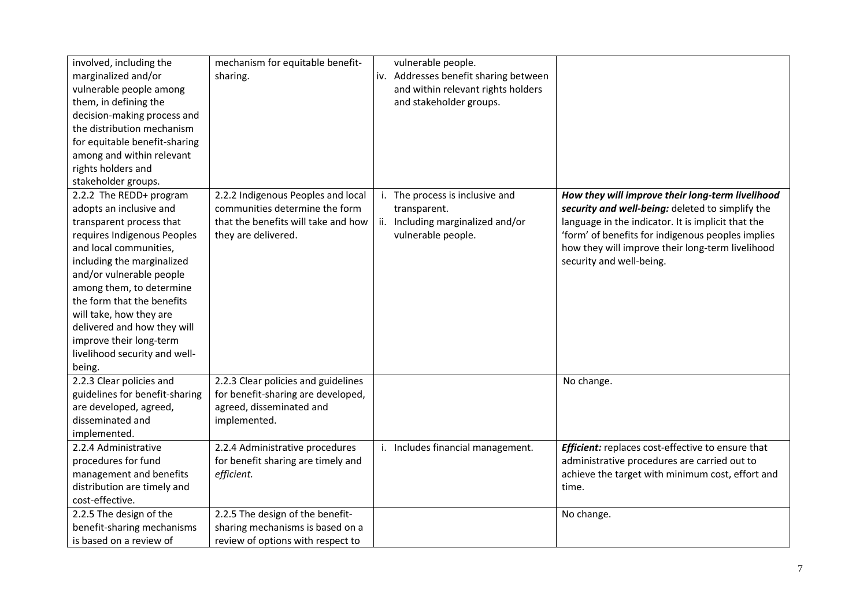| involved, including the<br>marginalized and/or<br>vulnerable people among<br>them, in defining the<br>decision-making process and<br>the distribution mechanism<br>for equitable benefit-sharing<br>among and within relevant<br>rights holders and                                                                                                                                         | mechanism for equitable benefit-<br>sharing.                                                                                       | vulnerable people.<br>iv. Addresses benefit sharing between<br>and within relevant rights holders<br>and stakeholder groups. |                                                                                                                                                                                                                                                                                                 |
|---------------------------------------------------------------------------------------------------------------------------------------------------------------------------------------------------------------------------------------------------------------------------------------------------------------------------------------------------------------------------------------------|------------------------------------------------------------------------------------------------------------------------------------|------------------------------------------------------------------------------------------------------------------------------|-------------------------------------------------------------------------------------------------------------------------------------------------------------------------------------------------------------------------------------------------------------------------------------------------|
| stakeholder groups.                                                                                                                                                                                                                                                                                                                                                                         |                                                                                                                                    |                                                                                                                              |                                                                                                                                                                                                                                                                                                 |
| 2.2.2 The REDD+ program<br>adopts an inclusive and<br>transparent process that<br>requires Indigenous Peoples<br>and local communities,<br>including the marginalized<br>and/or vulnerable people<br>among them, to determine<br>the form that the benefits<br>will take, how they are<br>delivered and how they will<br>improve their long-term<br>livelihood security and well-<br>being. | 2.2.2 Indigenous Peoples and local<br>communities determine the form<br>that the benefits will take and how<br>they are delivered. | i. The process is inclusive and<br>transparent.<br>ii. Including marginalized and/or<br>vulnerable people.                   | How they will improve their long-term livelihood<br>security and well-being: deleted to simplify the<br>language in the indicator. It is implicit that the<br>'form' of benefits for indigenous peoples implies<br>how they will improve their long-term livelihood<br>security and well-being. |
| 2.2.3 Clear policies and<br>guidelines for benefit-sharing<br>are developed, agreed,<br>disseminated and<br>implemented.                                                                                                                                                                                                                                                                    | 2.2.3 Clear policies and guidelines<br>for benefit-sharing are developed,<br>agreed, disseminated and<br>implemented.              |                                                                                                                              | No change.                                                                                                                                                                                                                                                                                      |
| 2.2.4 Administrative<br>procedures for fund<br>management and benefits<br>distribution are timely and<br>cost-effective.                                                                                                                                                                                                                                                                    | 2.2.4 Administrative procedures<br>for benefit sharing are timely and<br>efficient.                                                | i. Includes financial management.                                                                                            | Efficient: replaces cost-effective to ensure that<br>administrative procedures are carried out to<br>achieve the target with minimum cost, effort and<br>time.                                                                                                                                  |
| 2.2.5 The design of the<br>benefit-sharing mechanisms<br>is based on a review of                                                                                                                                                                                                                                                                                                            | 2.2.5 The design of the benefit-<br>sharing mechanisms is based on a<br>review of options with respect to                          |                                                                                                                              | No change.                                                                                                                                                                                                                                                                                      |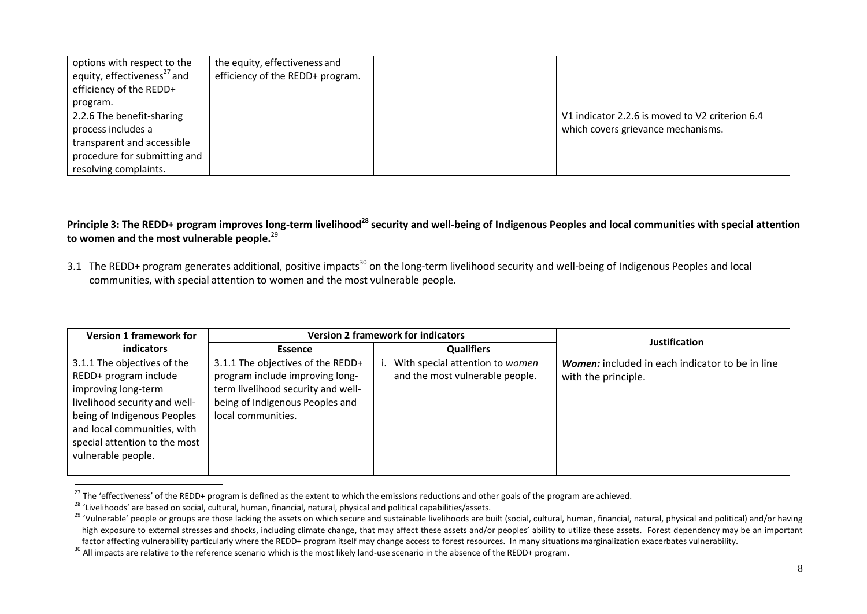| options with respect to the<br>equity, effectiveness <sup>27</sup> and<br>efficiency of the REDD+<br>program.                          | the equity, effectiveness and<br>efficiency of the REDD+ program. |                                                                                       |
|----------------------------------------------------------------------------------------------------------------------------------------|-------------------------------------------------------------------|---------------------------------------------------------------------------------------|
| 2.2.6 The benefit-sharing<br>process includes a<br>transparent and accessible<br>procedure for submitting and<br>resolving complaints. |                                                                   | V1 indicator 2.2.6 is moved to V2 criterion 6.4<br>which covers grievance mechanisms. |

**Principle 3: The REDD+ program improves long-term livelihood<sup>28</sup> security and well-being of Indigenous Peoples and local communities with special attention to women and the most vulnerable people.**<sup>29</sup>

3.1 The REDD+ program generates additional, positive impacts<sup>30</sup> on the long-term livelihood security and well-being of Indigenous Peoples and local communities, with special attention to women and the most vulnerable people.

| <b>Version 1 framework for</b>                                                                                                                                                                                                    | <b>Version 2 framework for indicators</b>                                                                                                                           |                                                                    | <b>Justification</b>                                                   |
|-----------------------------------------------------------------------------------------------------------------------------------------------------------------------------------------------------------------------------------|---------------------------------------------------------------------------------------------------------------------------------------------------------------------|--------------------------------------------------------------------|------------------------------------------------------------------------|
| indicators                                                                                                                                                                                                                        | <b>Essence</b>                                                                                                                                                      | <b>Qualifiers</b>                                                  |                                                                        |
| 3.1.1 The objectives of the<br>REDD+ program include<br>improving long-term<br>livelihood security and well-<br>being of Indigenous Peoples<br>and local communities, with<br>special attention to the most<br>vulnerable people. | 3.1.1 The objectives of the REDD+<br>program include improving long-<br>term livelihood security and well-<br>being of Indigenous Peoples and<br>local communities. | With special attention to women<br>and the most vulnerable people. | Women: included in each indicator to be in line<br>with the principle. |

<sup>&</sup>lt;sup>27</sup> The 'effectiveness' of the REDD+ program is defined as the extent to which the emissions reductions and other goals of the program are achieved.

<sup>28</sup> 'Livelihoods' are based on social, cultural, human, financial, natural, physical and political capabilities/assets.

<sup>&</sup>lt;sup>29</sup> 'Vulnerable' people or groups are those lacking the assets on which secure and sustainable livelihoods are built (social, cultural, human, financial, natural, physical and political) and/or having high exposure to external stresses and shocks, including climate change, that may affect these assets and/or peoples' ability to utilize these assets. Forest dependency may be an important factor affecting vulnerability particularly where the REDD+ program itself may change access to forest resources. In many situations marginalization exacerbates vulnerability.

<sup>&</sup>lt;sup>30</sup> All impacts are relative to the reference scenario which is the most likely land-use scenario in the absence of the REDD+ program.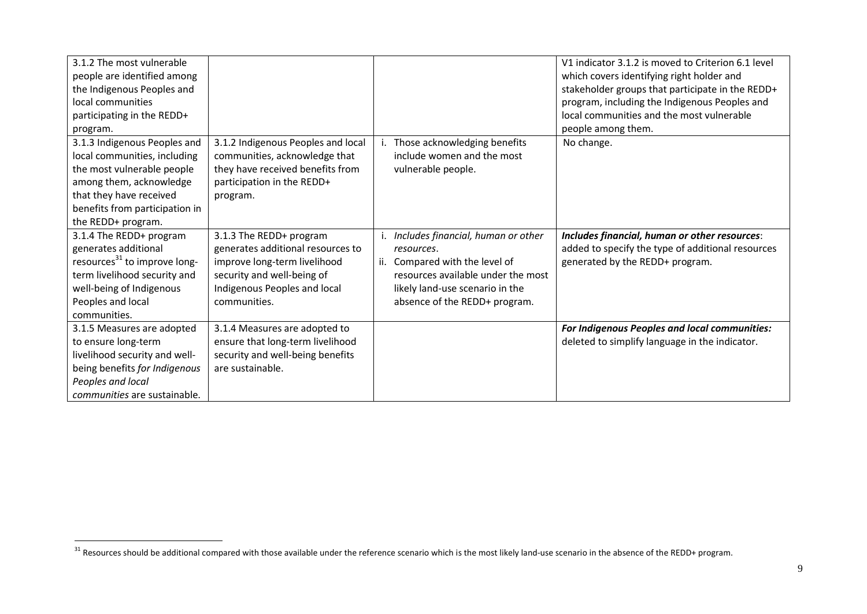| 3.1.2 The most vulnerable<br>people are identified among<br>the Indigenous Peoples and<br>local communities<br>participating in the REDD+<br>program.                                                    |                                                                                                                                                                            |                                                                                                                                                                                                 | V1 indicator 3.1.2 is moved to Criterion 6.1 level<br>which covers identifying right holder and<br>stakeholder groups that participate in the REDD+<br>program, including the Indigenous Peoples and<br>local communities and the most vulnerable<br>people among them. |
|----------------------------------------------------------------------------------------------------------------------------------------------------------------------------------------------------------|----------------------------------------------------------------------------------------------------------------------------------------------------------------------------|-------------------------------------------------------------------------------------------------------------------------------------------------------------------------------------------------|-------------------------------------------------------------------------------------------------------------------------------------------------------------------------------------------------------------------------------------------------------------------------|
| 3.1.3 Indigenous Peoples and<br>local communities, including<br>the most vulnerable people<br>among them, acknowledge<br>that they have received<br>benefits from participation in<br>the REDD+ program. | 3.1.2 Indigenous Peoples and local<br>communities, acknowledge that<br>they have received benefits from<br>participation in the REDD+<br>program.                          | i. Those acknowledging benefits<br>include women and the most<br>vulnerable people.                                                                                                             | No change.                                                                                                                                                                                                                                                              |
| 3.1.4 The REDD+ program<br>generates additional<br>resources <sup>31</sup> to improve long-<br>term livelihood security and<br>well-being of Indigenous<br>Peoples and local<br>communities.             | 3.1.3 The REDD+ program<br>generates additional resources to<br>improve long-term livelihood<br>security and well-being of<br>Indigenous Peoples and local<br>communities. | i. Includes financial, human or other<br>resources.<br>ii. Compared with the level of<br>resources available under the most<br>likely land-use scenario in the<br>absence of the REDD+ program. | Includes financial, human or other resources:<br>added to specify the type of additional resources<br>generated by the REDD+ program.                                                                                                                                   |
| 3.1.5 Measures are adopted<br>to ensure long-term<br>livelihood security and well-<br>being benefits for Indigenous<br>Peoples and local<br>communities are sustainable.                                 | 3.1.4 Measures are adopted to<br>ensure that long-term livelihood<br>security and well-being benefits<br>are sustainable.                                                  |                                                                                                                                                                                                 | For Indigenous Peoples and local communities:<br>deleted to simplify language in the indicator.                                                                                                                                                                         |

<sup>&</sup>lt;sup>31</sup> Resources should be additional compared with those available under the reference scenario which is the most likely land-use scenario in the absence of the REDD+ program.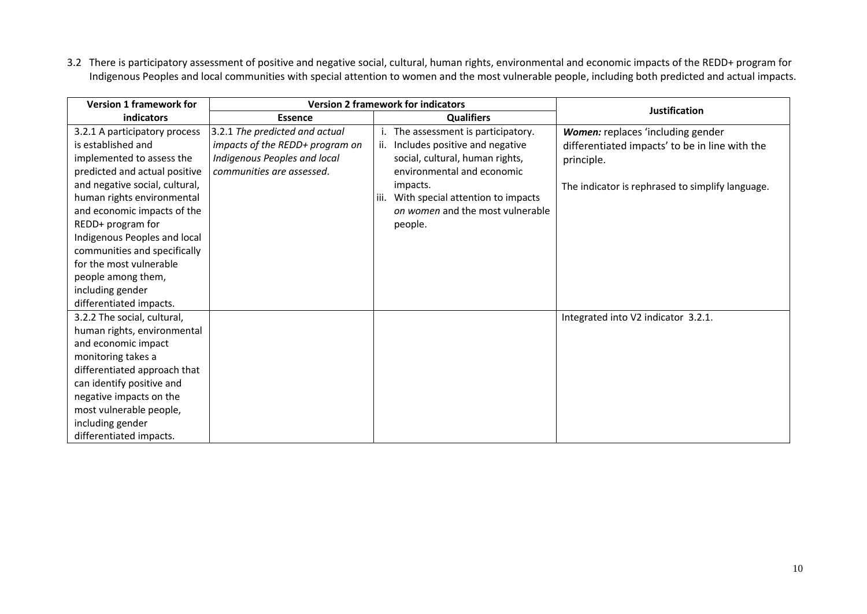3.2 There is participatory assessment of positive and negative social, cultural, human rights, environmental and economic impacts of the REDD+ program for Indigenous Peoples and local communities with special attention to women and the most vulnerable people, including both predicted and actual impacts.

| <b>Version 1 framework for</b>                                                                                                                                                                                                                                            | <b>Version 2 framework for indicators</b>                                                                                      |                                                                                                                                                                                                                                                 | <b>Justification</b>                                                                                                                                  |
|---------------------------------------------------------------------------------------------------------------------------------------------------------------------------------------------------------------------------------------------------------------------------|--------------------------------------------------------------------------------------------------------------------------------|-------------------------------------------------------------------------------------------------------------------------------------------------------------------------------------------------------------------------------------------------|-------------------------------------------------------------------------------------------------------------------------------------------------------|
| indicators                                                                                                                                                                                                                                                                | <b>Essence</b>                                                                                                                 | <b>Qualifiers</b>                                                                                                                                                                                                                               |                                                                                                                                                       |
| 3.2.1 A participatory process<br>is established and<br>implemented to assess the<br>predicted and actual positive<br>and negative social, cultural,<br>human rights environmental<br>and economic impacts of the<br>REDD+ program for                                     | 3.2.1 The predicted and actual<br>impacts of the REDD+ program on<br>Indigenous Peoples and local<br>communities are assessed. | The assessment is participatory.<br>ii. Includes positive and negative<br>social, cultural, human rights,<br>environmental and economic<br>impacts.<br>With special attention to impacts<br>iii.<br>on women and the most vulnerable<br>people. | Women: replaces 'including gender<br>differentiated impacts' to be in line with the<br>principle.<br>The indicator is rephrased to simplify language. |
| Indigenous Peoples and local<br>communities and specifically<br>for the most vulnerable<br>people among them,<br>including gender<br>differentiated impacts.                                                                                                              |                                                                                                                                |                                                                                                                                                                                                                                                 |                                                                                                                                                       |
| 3.2.2 The social, cultural,<br>human rights, environmental<br>and economic impact<br>monitoring takes a<br>differentiated approach that<br>can identify positive and<br>negative impacts on the<br>most vulnerable people,<br>including gender<br>differentiated impacts. |                                                                                                                                |                                                                                                                                                                                                                                                 | Integrated into V2 indicator 3.2.1.                                                                                                                   |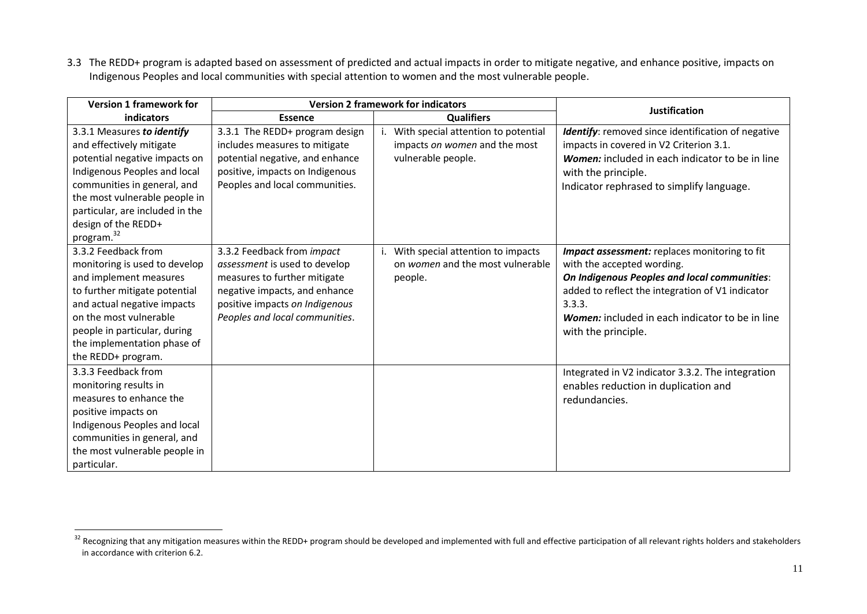3.3 The REDD+ program is adapted based on assessment of predicted and actual impacts in order to mitigate negative, and enhance positive, impacts on Indigenous Peoples and local communities with special attention to women and the most vulnerable people.

| <b>Version 1 framework for</b>                                                                                                                                                                                                                                              | <b>Version 2 framework for indicators</b>                                                                                                                                                        |                                                                                            | <b>Justification</b>                                                                                                                                                                                                                                                |
|-----------------------------------------------------------------------------------------------------------------------------------------------------------------------------------------------------------------------------------------------------------------------------|--------------------------------------------------------------------------------------------------------------------------------------------------------------------------------------------------|--------------------------------------------------------------------------------------------|---------------------------------------------------------------------------------------------------------------------------------------------------------------------------------------------------------------------------------------------------------------------|
| indicators                                                                                                                                                                                                                                                                  | <b>Essence</b>                                                                                                                                                                                   | <b>Qualifiers</b>                                                                          |                                                                                                                                                                                                                                                                     |
| 3.3.1 Measures to identify<br>and effectively mitigate<br>potential negative impacts on<br>Indigenous Peoples and local<br>communities in general, and<br>the most vulnerable people in<br>particular, are included in the<br>design of the REDD+<br>program. <sup>32</sup> | 3.3.1 The REDD+ program design<br>includes measures to mitigate<br>potential negative, and enhance<br>positive, impacts on Indigenous<br>Peoples and local communities.                          | With special attention to potential<br>impacts on women and the most<br>vulnerable people. | Identify: removed since identification of negative<br>impacts in covered in V2 Criterion 3.1.<br>Women: included in each indicator to be in line<br>with the principle.<br>Indicator rephrased to simplify language.                                                |
| 3.3.2 Feedback from<br>monitoring is used to develop<br>and implement measures<br>to further mitigate potential<br>and actual negative impacts<br>on the most vulnerable<br>people in particular, during<br>the implementation phase of<br>the REDD+ program.               | 3.3.2 Feedback from impact<br>assessment is used to develop<br>measures to further mitigate<br>negative impacts, and enhance<br>positive impacts on Indigenous<br>Peoples and local communities. | i. With special attention to impacts<br>on women and the most vulnerable<br>people.        | Impact assessment: replaces monitoring to fit<br>with the accepted wording.<br>On Indigenous Peoples and local communities:<br>added to reflect the integration of V1 indicator<br>3.3.3.<br>Women: included in each indicator to be in line<br>with the principle. |
| 3.3.3 Feedback from<br>monitoring results in<br>measures to enhance the<br>positive impacts on<br>Indigenous Peoples and local<br>communities in general, and<br>the most vulnerable people in<br>particular.                                                               |                                                                                                                                                                                                  |                                                                                            | Integrated in V2 indicator 3.3.2. The integration<br>enables reduction in duplication and<br>redundancies.                                                                                                                                                          |

 $32$  Recognizing that any mitigation measures within the REDD+ program should be developed and implemented with full and effective participation of all relevant rights holders and stakeholders in accordance with criterion 6.2.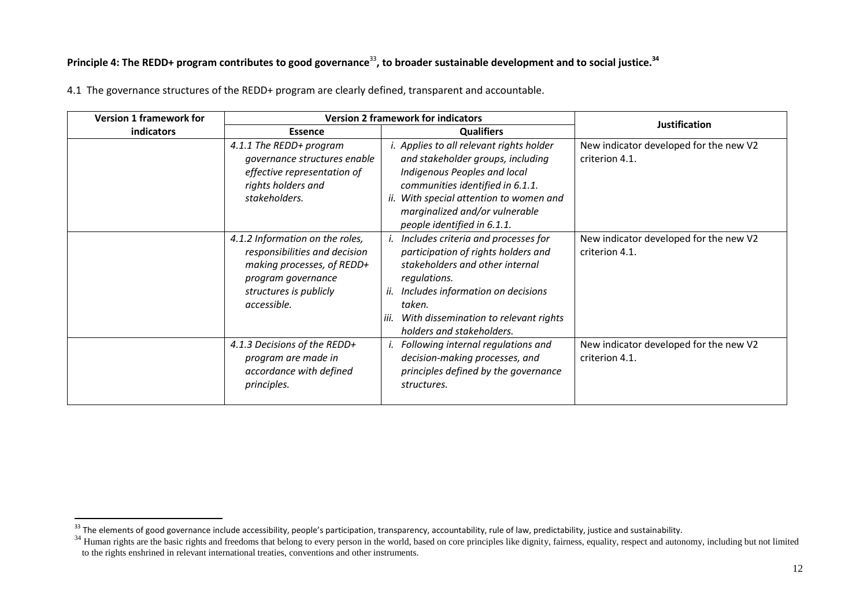## Principle 4: The REDD+ program contributes to good governance<sup>33</sup>, to broader sustainable development and to social justice.<sup>34</sup>

| <b>Version 1 framework for</b> | <b>Version 2 framework for indicators</b>                                                                                                                     |                                                                                                                                                                                                                                                                      | <b>Justification</b>                                     |
|--------------------------------|---------------------------------------------------------------------------------------------------------------------------------------------------------------|----------------------------------------------------------------------------------------------------------------------------------------------------------------------------------------------------------------------------------------------------------------------|----------------------------------------------------------|
| indicators                     | <b>Essence</b>                                                                                                                                                | <b>Qualifiers</b>                                                                                                                                                                                                                                                    |                                                          |
|                                | 4.1.1 The REDD+ program<br>governance structures enable<br>effective representation of<br>rights holders and<br>stakeholders.                                 | <i>i.</i> Applies to all relevant rights holder<br>and stakeholder groups, including<br>Indigenous Peoples and local<br>communities identified in 6.1.1.<br>ii. With special attention to women and<br>marginalized and/or vulnerable<br>people identified in 6.1.1. | New indicator developed for the new V2<br>criterion 4.1. |
|                                | 4.1.2 Information on the roles,<br>responsibilities and decision<br>making processes, of REDD+<br>program governance<br>structures is publicly<br>accessible. | Includes criteria and processes for<br>participation of rights holders and<br>stakeholders and other internal<br>regulations.<br>Includes information on decisions<br>ii.<br>taken.<br>iii.<br>With dissemination to relevant rights<br>holders and stakeholders.    | New indicator developed for the new V2<br>criterion 4.1. |
|                                | 4.1.3 Decisions of the REDD+<br>program are made in<br>accordance with defined<br>principles.                                                                 | Following internal regulations and<br>decision-making processes, and<br>principles defined by the governance<br>structures.                                                                                                                                          | New indicator developed for the new V2<br>criterion 4.1. |

4.1 The governance structures of the REDD+ program are clearly defined, transparent and accountable.

<sup>&</sup>lt;sup>33</sup> The elements of good governance include accessibility, people's participation, transparency, accountability, rule of law, predictability, justice and sustainability.

<sup>&</sup>lt;sup>34</sup> Human rights are the basic rights and freedoms that belong to every person in the world, based on core principles like dignity, fairness, equality, respect and autonomy, including but not limited to the rights enshrined in relevant international treaties, conventions and other instruments.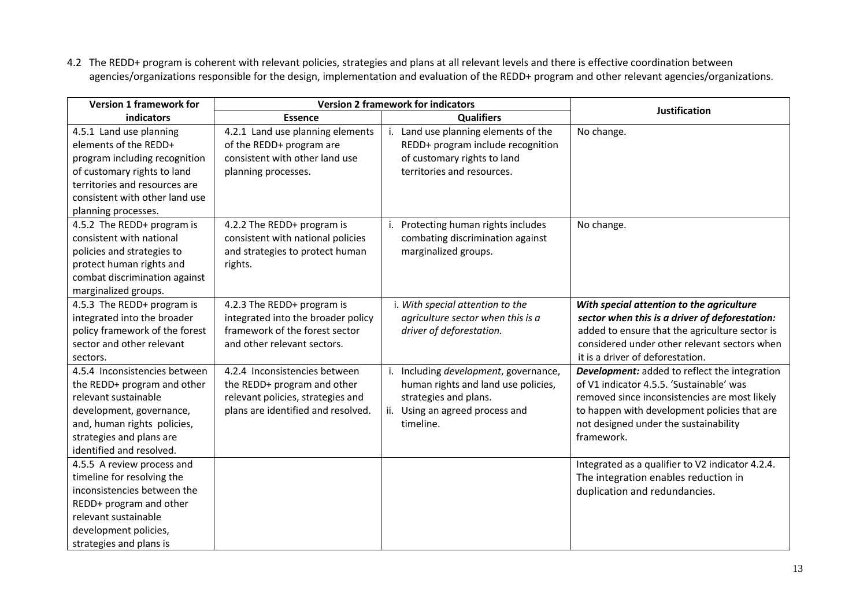4.2 The REDD+ program is coherent with relevant policies, strategies and plans at all relevant levels and there is effective coordination between agencies/organizations responsible for the design, implementation and evaluation of the REDD+ program and other relevant agencies/organizations.

| <b>Version 1 framework for</b>                                                                                                                                                                             | <b>Version 2 framework for indicators</b>                                                                                               |                                                                                                                                                       | <b>Justification</b>                                                                                                                                                                                                                                     |
|------------------------------------------------------------------------------------------------------------------------------------------------------------------------------------------------------------|-----------------------------------------------------------------------------------------------------------------------------------------|-------------------------------------------------------------------------------------------------------------------------------------------------------|----------------------------------------------------------------------------------------------------------------------------------------------------------------------------------------------------------------------------------------------------------|
| <b>indicators</b>                                                                                                                                                                                          | <b>Essence</b>                                                                                                                          | <b>Qualifiers</b>                                                                                                                                     |                                                                                                                                                                                                                                                          |
| 4.5.1 Land use planning<br>elements of the REDD+<br>program including recognition<br>of customary rights to land<br>territories and resources are<br>consistent with other land use<br>planning processes. | 4.2.1 Land use planning elements<br>of the REDD+ program are<br>consistent with other land use<br>planning processes.                   | i. Land use planning elements of the<br>REDD+ program include recognition<br>of customary rights to land<br>territories and resources.                | No change.                                                                                                                                                                                                                                               |
| 4.5.2 The REDD+ program is<br>consistent with national<br>policies and strategies to<br>protect human rights and<br>combat discrimination against<br>marginalized groups.                                  | 4.2.2 The REDD+ program is<br>consistent with national policies<br>and strategies to protect human<br>rights.                           | Protecting human rights includes<br>combating discrimination against<br>marginalized groups.                                                          | No change.                                                                                                                                                                                                                                               |
| 4.5.3 The REDD+ program is<br>integrated into the broader<br>policy framework of the forest<br>sector and other relevant<br>sectors.                                                                       | 4.2.3 The REDD+ program is<br>integrated into the broader policy<br>framework of the forest sector<br>and other relevant sectors.       | i. With special attention to the<br>agriculture sector when this is a<br>driver of deforestation.                                                     | With special attention to the agriculture<br>sector when this is a driver of deforestation:<br>added to ensure that the agriculture sector is<br>considered under other relevant sectors when<br>it is a driver of deforestation.                        |
| 4.5.4 Inconsistencies between<br>the REDD+ program and other<br>relevant sustainable<br>development, governance,<br>and, human rights policies,<br>strategies and plans are<br>identified and resolved.    | 4.2.4 Inconsistencies between<br>the REDD+ program and other<br>relevant policies, strategies and<br>plans are identified and resolved. | Including development, governance,<br>human rights and land use policies,<br>strategies and plans.<br>Using an agreed process and<br>ii.<br>timeline. | <b>Development:</b> added to reflect the integration<br>of V1 indicator 4.5.5. 'Sustainable' was<br>removed since inconsistencies are most likely<br>to happen with development policies that are<br>not designed under the sustainability<br>framework. |
| 4.5.5 A review process and<br>timeline for resolving the<br>inconsistencies between the<br>REDD+ program and other<br>relevant sustainable<br>development policies,<br>strategies and plans is             |                                                                                                                                         |                                                                                                                                                       | Integrated as a qualifier to V2 indicator 4.2.4.<br>The integration enables reduction in<br>duplication and redundancies.                                                                                                                                |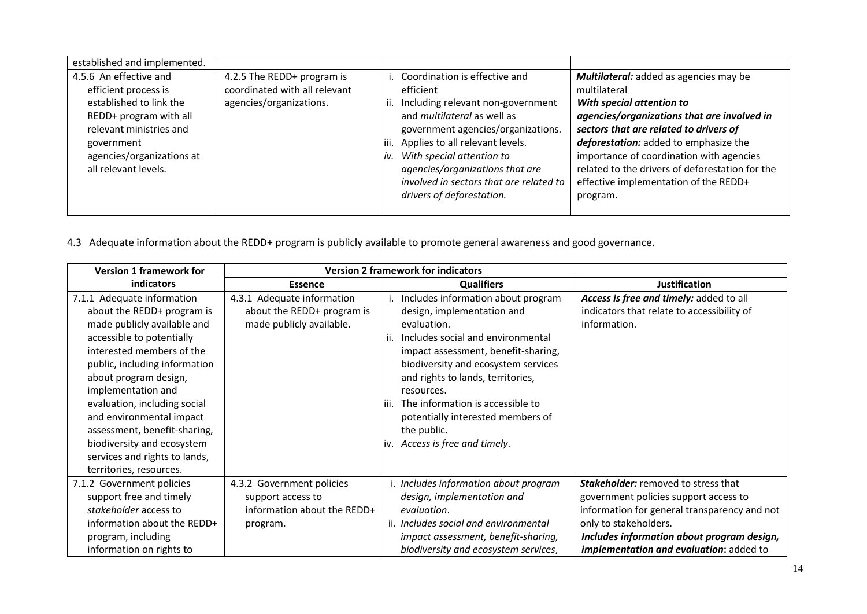| established and implemented.                                                                                                                                                                      |                                                                                        |             |                                                                                                                                                                                                                                                                                                                                        |                                                                                                                                                                                                                                                                                                                                                                           |
|---------------------------------------------------------------------------------------------------------------------------------------------------------------------------------------------------|----------------------------------------------------------------------------------------|-------------|----------------------------------------------------------------------------------------------------------------------------------------------------------------------------------------------------------------------------------------------------------------------------------------------------------------------------------------|---------------------------------------------------------------------------------------------------------------------------------------------------------------------------------------------------------------------------------------------------------------------------------------------------------------------------------------------------------------------------|
| 4.5.6 An effective and<br>efficient process is<br>established to link the<br>REDD+ program with all<br>relevant ministries and<br>government<br>agencies/organizations at<br>all relevant levels. | 4.2.5 The REDD+ program is<br>coordinated with all relevant<br>agencies/organizations. | iii.<br>iv. | Coordination is effective and<br>efficient<br>Including relevant non-government<br>and <i>multilateral</i> as well as<br>government agencies/organizations.<br>Applies to all relevant levels.<br>With special attention to<br>agencies/organizations that are<br>involved in sectors that are related to<br>drivers of deforestation. | Multilateral: added as agencies may be<br>multilateral<br>With special attention to<br>agencies/organizations that are involved in<br>sectors that are related to drivers of<br>deforestation: added to emphasize the<br>importance of coordination with agencies<br>related to the drivers of deforestation for the<br>effective implementation of the REDD+<br>program. |

4.3 Adequate information about the REDD+ program is publicly available to promote general awareness and good governance.

| <b>Version 1 framework for</b> |                             | <b>Version 2 framework for indicators</b> |                                                |
|--------------------------------|-----------------------------|-------------------------------------------|------------------------------------------------|
| <b>indicators</b>              | <b>Essence</b>              | <b>Qualifiers</b>                         | <b>Justification</b>                           |
| 7.1.1 Adequate information     | 4.3.1 Adequate information  | Includes information about program        | Access is free and timely: added to all        |
| about the REDD+ program is     | about the REDD+ program is  | design, implementation and                | indicators that relate to accessibility of     |
| made publicly available and    | made publicly available.    | evaluation.                               | information.                                   |
| accessible to potentially      |                             | Includes social and environmental         |                                                |
| interested members of the      |                             | impact assessment, benefit-sharing,       |                                                |
| public, including information  |                             | biodiversity and ecosystem services       |                                                |
| about program design,          |                             | and rights to lands, territories,         |                                                |
| implementation and             |                             | resources.                                |                                                |
| evaluation, including social   |                             | The information is accessible to<br>iii.  |                                                |
| and environmental impact       |                             | potentially interested members of         |                                                |
| assessment, benefit-sharing,   |                             | the public.                               |                                                |
| biodiversity and ecosystem     |                             | iv. Access is free and timely.            |                                                |
| services and rights to lands,  |                             |                                           |                                                |
| territories, resources.        |                             |                                           |                                                |
| 7.1.2 Government policies      | 4.3.2 Government policies   | i. Includes information about program     | <b>Stakeholder:</b> removed to stress that     |
| support free and timely        | support access to           | design, implementation and                | government policies support access to          |
| stakeholder access to          | information about the REDD+ | evaluation.                               | information for general transparency and not   |
| information about the REDD+    | program.                    | ii. Includes social and environmental     | only to stakeholders.                          |
| program, including             |                             | impact assessment, benefit-sharing,       | Includes information about program design,     |
| information on rights to       |                             | biodiversity and ecosystem services,      | <i>implementation and evaluation: added to</i> |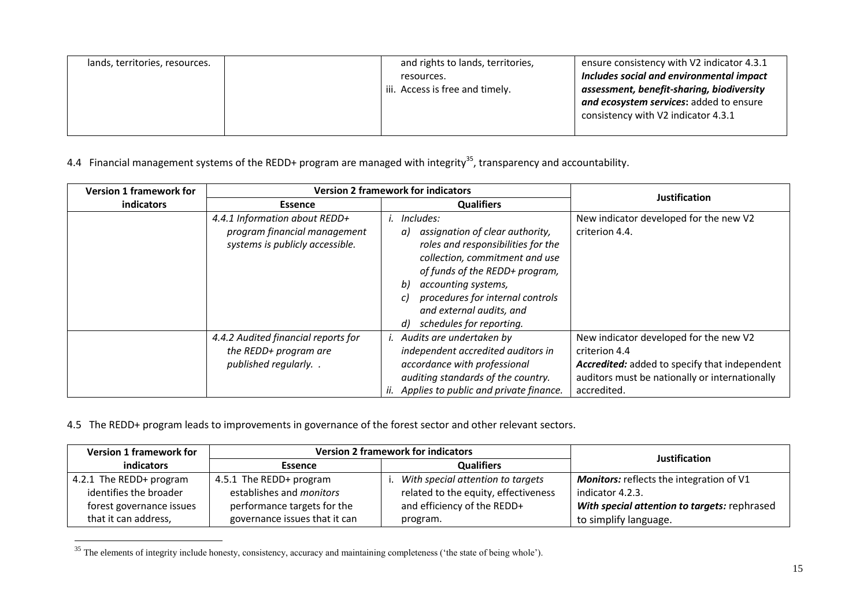| lands, territories, resources. | and rights to lands, territories, | ensure consistency with V2 indicator 4.3.1 |
|--------------------------------|-----------------------------------|--------------------------------------------|
|                                | resources.                        | Includes social and environmental impact   |
|                                | iii. Access is free and timely.   | assessment, benefit-sharing, biodiversity  |
|                                |                                   | and ecosystem services: added to ensure    |
|                                |                                   | consistency with V2 indicator 4.3.1        |
|                                |                                   |                                            |

4.4 Financial management systems of the REDD+ program are managed with integrity<sup>35</sup>, transparency and accountability.

| <b>Version 1 framework for</b> |                                                                                                  | <b>Version 2 framework for indicators</b>                                                                                                                                                                                                                                                   | <b>Justification</b>                                                                                                                                                      |
|--------------------------------|--------------------------------------------------------------------------------------------------|---------------------------------------------------------------------------------------------------------------------------------------------------------------------------------------------------------------------------------------------------------------------------------------------|---------------------------------------------------------------------------------------------------------------------------------------------------------------------------|
| indicators                     | <b>Essence</b>                                                                                   | <b>Qualifiers</b>                                                                                                                                                                                                                                                                           |                                                                                                                                                                           |
|                                | 4.4.1 Information about REDD+<br>program financial management<br>systems is publicly accessible. | Includes:<br>assignation of clear authority,<br>a)<br>roles and responsibilities for the<br>collection, commitment and use<br>of funds of the REDD+ program,<br>accounting systems,<br>b)<br>procedures for internal controls<br>and external audits, and<br>schedules for reporting.<br>d) | New indicator developed for the new V2<br>criterion 4.4.                                                                                                                  |
|                                | 4.4.2 Audited financial reports for<br>the REDD+ program are<br>published regularly. .           | Audits are undertaken by<br>independent accredited auditors in<br>accordance with professional<br>auditing standards of the country.<br>Applies to public and private finance.                                                                                                              | New indicator developed for the new V2<br>criterion 4.4<br>Accredited: added to specify that independent<br>auditors must be nationally or internationally<br>accredited. |

4.5 The REDD+ program leads to improvements in governance of the forest sector and other relevant sectors.

| <b>Version 1 framework for</b> | <b>Version 2 framework for indicators</b> |                                      | Justification                                   |
|--------------------------------|-------------------------------------------|--------------------------------------|-------------------------------------------------|
| indicators                     | <b>Essence</b>                            | <b>Qualifiers</b>                    |                                                 |
| 4.2.1 The REDD+ program        | 4.5.1 The REDD+ program                   | With special attention to targets    | <b>Monitors:</b> reflects the integration of V1 |
| identifies the broader         | establishes and <i>monitors</i>           | related to the equity, effectiveness | indicator 4.2.3.                                |
| forest governance issues       | performance targets for the               | and efficiency of the REDD+          | With special attention to targets: rephrased    |
| that it can address,           | governance issues that it can             | program.                             | to simplify language.                           |

 $35$  The elements of integrity include honesty, consistency, accuracy and maintaining completeness ('the state of being whole').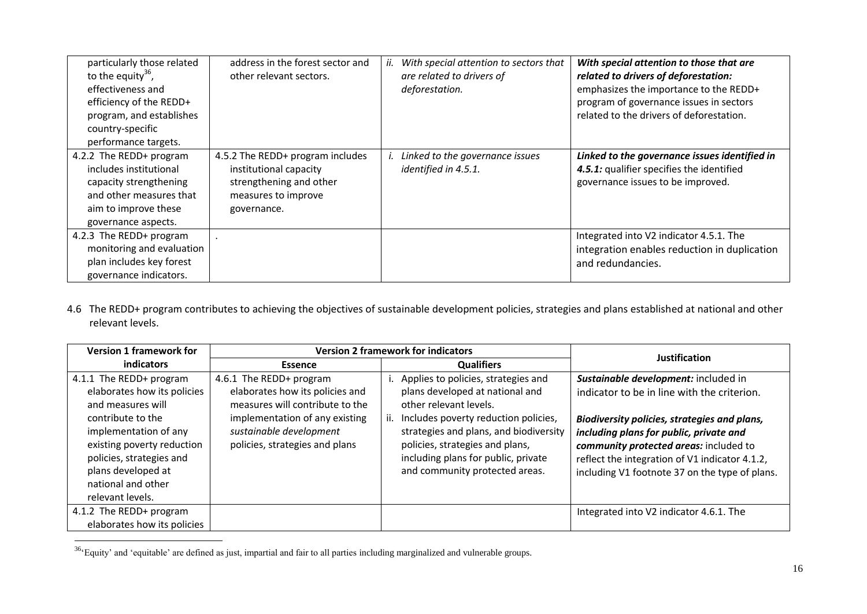| particularly those related<br>to the equity $36$ ,<br>effectiveness and<br>efficiency of the REDD+<br>program, and establishes<br>country-specific<br>performance targets. | address in the forest sector and<br>other relevant sectors.                                                                 | With special attention to sectors that<br>are related to drivers of<br>deforestation. | With special attention to those that are<br>related to drivers of deforestation:<br>emphasizes the importance to the REDD+<br>program of governance issues in sectors<br>related to the drivers of deforestation. |
|----------------------------------------------------------------------------------------------------------------------------------------------------------------------------|-----------------------------------------------------------------------------------------------------------------------------|---------------------------------------------------------------------------------------|-------------------------------------------------------------------------------------------------------------------------------------------------------------------------------------------------------------------|
| 4.2.2 The REDD+ program<br>includes institutional<br>capacity strengthening<br>and other measures that<br>aim to improve these<br>governance aspects.                      | 4.5.2 The REDD+ program includes<br>institutional capacity<br>strengthening and other<br>measures to improve<br>governance. | Linked to the governance issues<br>identified in 4.5.1.                               | Linked to the governance issues identified in<br>4.5.1: qualifier specifies the identified<br>governance issues to be improved.                                                                                   |
| 4.2.3 The REDD+ program<br>monitoring and evaluation<br>plan includes key forest<br>governance indicators.                                                                 |                                                                                                                             |                                                                                       | Integrated into V2 indicator 4.5.1. The<br>integration enables reduction in duplication<br>and redundancies.                                                                                                      |

4.6 The REDD+ program contributes to achieving the objectives of sustainable development policies, strategies and plans established at national and other relevant levels.

| <b>Version 1 framework for</b> | <b>Version 2 framework for indicators</b> |                                        | <b>Justification</b>                           |
|--------------------------------|-------------------------------------------|----------------------------------------|------------------------------------------------|
| indicators                     | Essence                                   | <b>Qualifiers</b>                      |                                                |
| 4.1.1 The REDD+ program        | 4.6.1 The REDD+ program                   | Applies to policies, strategies and    | Sustainable development: included in           |
| elaborates how its policies    | elaborates how its policies and           | plans developed at national and        | indicator to be in line with the criterion.    |
| and measures will              | measures will contribute to the           | other relevant levels.                 |                                                |
| contribute to the              | implementation of any existing            | Includes poverty reduction policies,   | Biodiversity policies, strategies and plans,   |
| implementation of any          | sustainable development                   | strategies and plans, and biodiversity | including plans for public, private and        |
| existing poverty reduction     | policies, strategies and plans            | policies, strategies and plans,        | community protected areas: included to         |
| policies, strategies and       |                                           | including plans for public, private    | reflect the integration of V1 indicator 4.1.2, |
| plans developed at             |                                           | and community protected areas.         | including V1 footnote 37 on the type of plans. |
| national and other             |                                           |                                        |                                                |
| relevant levels.               |                                           |                                        |                                                |
| 4.1.2 The REDD+ program        |                                           |                                        | Integrated into V2 indicator 4.6.1. The        |
| elaborates how its policies    |                                           |                                        |                                                |

 $36\textdegree$  Equity' and 'equitable' are defined as just, impartial and fair to all parties including marginalized and vulnerable groups.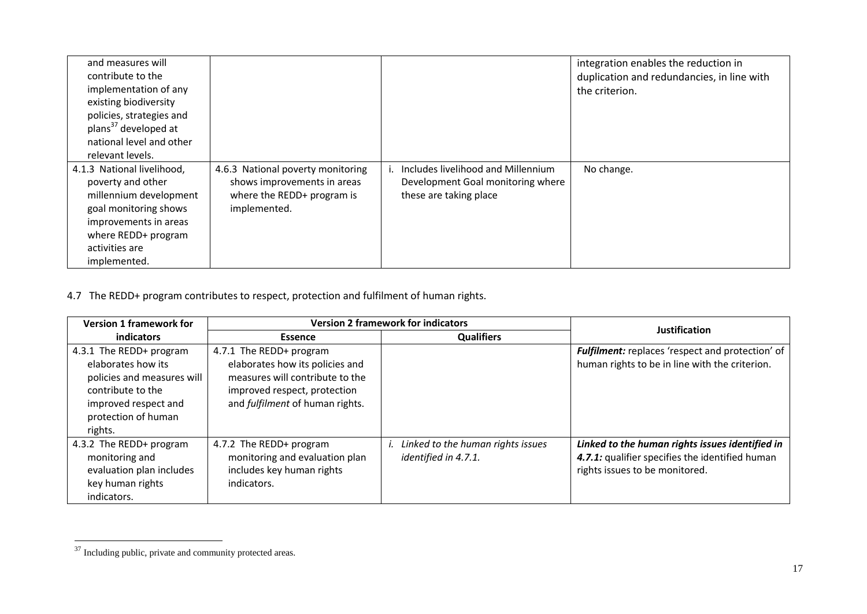| and measures will<br>contribute to the<br>implementation of any<br>existing biodiversity<br>policies, strategies and<br>plans <sup>37</sup> developed at<br>national level and other<br>relevant levels. |                                                                                                                |                                                                                                   | integration enables the reduction in<br>duplication and redundancies, in line with<br>the criterion. |
|----------------------------------------------------------------------------------------------------------------------------------------------------------------------------------------------------------|----------------------------------------------------------------------------------------------------------------|---------------------------------------------------------------------------------------------------|------------------------------------------------------------------------------------------------------|
| 4.1.3 National livelihood,<br>poverty and other<br>millennium development<br>goal monitoring shows<br>improvements in areas<br>where REDD+ program<br>activities are<br>implemented.                     | 4.6.3 National poverty monitoring<br>shows improvements in areas<br>where the REDD+ program is<br>implemented. | Includes livelihood and Millennium<br>Development Goal monitoring where<br>these are taking place | No change.                                                                                           |

## 4.7 The REDD+ program contributes to respect, protection and fulfilment of human rights.

| <b>Version 1 framework for</b>                                                                                                                             | <b>Version 2 framework for indicators</b>                                                                                                                        |                                                           | <b>Justification</b>                                                                                                                 |
|------------------------------------------------------------------------------------------------------------------------------------------------------------|------------------------------------------------------------------------------------------------------------------------------------------------------------------|-----------------------------------------------------------|--------------------------------------------------------------------------------------------------------------------------------------|
| <b>indicators</b>                                                                                                                                          | Essence                                                                                                                                                          | <b>Qualifiers</b>                                         |                                                                                                                                      |
| 4.3.1 The REDD+ program<br>elaborates how its<br>policies and measures will<br>contribute to the<br>improved respect and<br>protection of human<br>rights. | 4.7.1 The REDD+ program<br>elaborates how its policies and<br>measures will contribute to the<br>improved respect, protection<br>and fulfilment of human rights. |                                                           | Fulfilment: replaces 'respect and protection' of<br>human rights to be in line with the criterion.                                   |
| 4.3.2 The REDD+ program<br>monitoring and<br>evaluation plan includes<br>key human rights<br>indicators.                                                   | 4.7.2 The REDD+ program<br>monitoring and evaluation plan<br>includes key human rights<br>indicators.                                                            | Linked to the human rights issues<br>identified in 4.7.1. | Linked to the human rights issues identified in<br>4.7.1: qualifier specifies the identified human<br>rights issues to be monitored. |

<sup>&</sup>lt;sup>37</sup> Including public, private and community protected areas.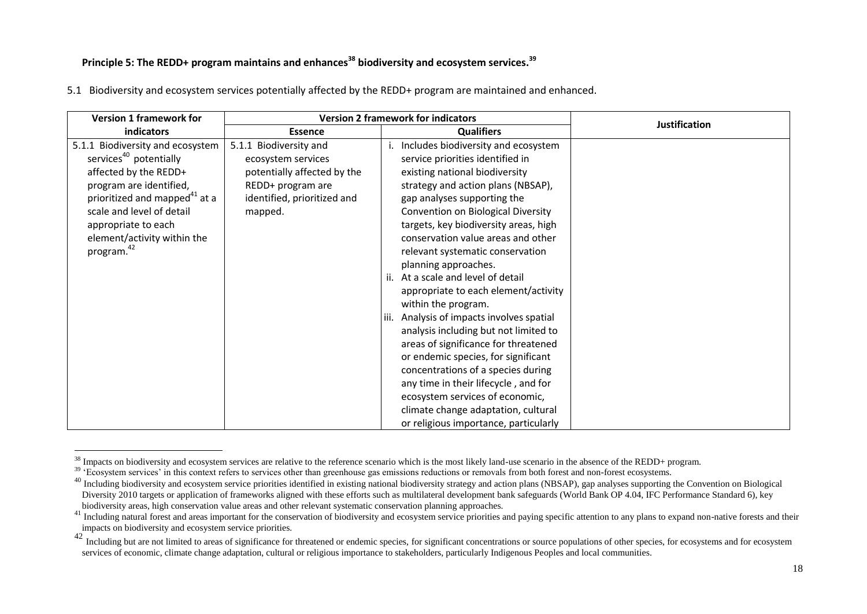#### **Principle 5: The REDD+ program maintains and enhances<sup>38</sup> biodiversity and ecosystem services.<sup>39</sup>**

|  |  |  |  |  |  | 5.1 Biodiversity and ecosystem services potentially affected by the REDD+ program are maintained and enhanced. |  |
|--|--|--|--|--|--|----------------------------------------------------------------------------------------------------------------|--|
|--|--|--|--|--|--|----------------------------------------------------------------------------------------------------------------|--|

| <b>Version 1 framework for</b>            |                             | <b>Version 2 framework for indicators</b> | <b>Justification</b> |
|-------------------------------------------|-----------------------------|-------------------------------------------|----------------------|
| indicators                                | <b>Essence</b>              | <b>Qualifiers</b>                         |                      |
| 5.1.1 Biodiversity and ecosystem          | 5.1.1 Biodiversity and      | Includes biodiversity and ecosystem       |                      |
| services <sup>40</sup> potentially        | ecosystem services          | service priorities identified in          |                      |
| affected by the REDD+                     | potentially affected by the | existing national biodiversity            |                      |
| program are identified,                   | REDD+ program are           | strategy and action plans (NBSAP),        |                      |
| prioritized and mapped <sup>41</sup> at a | identified, prioritized and | gap analyses supporting the               |                      |
| scale and level of detail                 | mapped.                     | Convention on Biological Diversity        |                      |
| appropriate to each                       |                             | targets, key biodiversity areas, high     |                      |
| element/activity within the               |                             | conservation value areas and other        |                      |
| program. <sup>42</sup>                    |                             | relevant systematic conservation          |                      |
|                                           |                             | planning approaches.                      |                      |
|                                           |                             | At a scale and level of detail<br>ii.     |                      |
|                                           |                             | appropriate to each element/activity      |                      |
|                                           |                             | within the program.                       |                      |
|                                           |                             | Analysis of impacts involves spatial      |                      |
|                                           |                             | analysis including but not limited to     |                      |
|                                           |                             | areas of significance for threatened      |                      |
|                                           |                             | or endemic species, for significant       |                      |
|                                           |                             | concentrations of a species during        |                      |
|                                           |                             | any time in their lifecycle, and for      |                      |
|                                           |                             | ecosystem services of economic,           |                      |
|                                           |                             | climate change adaptation, cultural       |                      |
|                                           |                             | or religious importance, particularly     |                      |

<sup>&</sup>lt;u>.</u>  $38$  Impacts on biodiversity and ecosystem services are relative to the reference scenario which is the most likely land-use scenario in the absence of the REDD+ program.

<sup>&</sup>lt;sup>39</sup> 'Ecosystem services' in this context refers to services other than greenhouse gas emissions reductions or removals from both forest and non-forest ecosystems.

<sup>&</sup>lt;sup>40</sup> Including biodiversity and ecosystem service priorities identified in existing national biodiversity strategy and action plans (NBSAP), gap analyses supporting the Convention on Biological Diversity 2010 targets or application of frameworks aligned with these efforts such as multilateral development bank safeguards (World Bank OP 4.04, IFC Performance Standard 6), key biodiversity areas, high conservation value areas and other relevant systematic conservation planning approaches.

<sup>&</sup>lt;sup>41</sup> Including natural forest and areas important for the conservation of biodiversity and ecosystem service priorities and paying specific attention to any plans to expand non-native forests and their impacts on biodiversity and ecosystem service priorities.

Including but are not limited to areas of significance for threatened or endemic species, for significant concentrations or source populations of other species, for ecosystems and for ecosystem services of economic, climate change adaptation, cultural or religious importance to stakeholders, particularly Indigenous Peoples and local communities.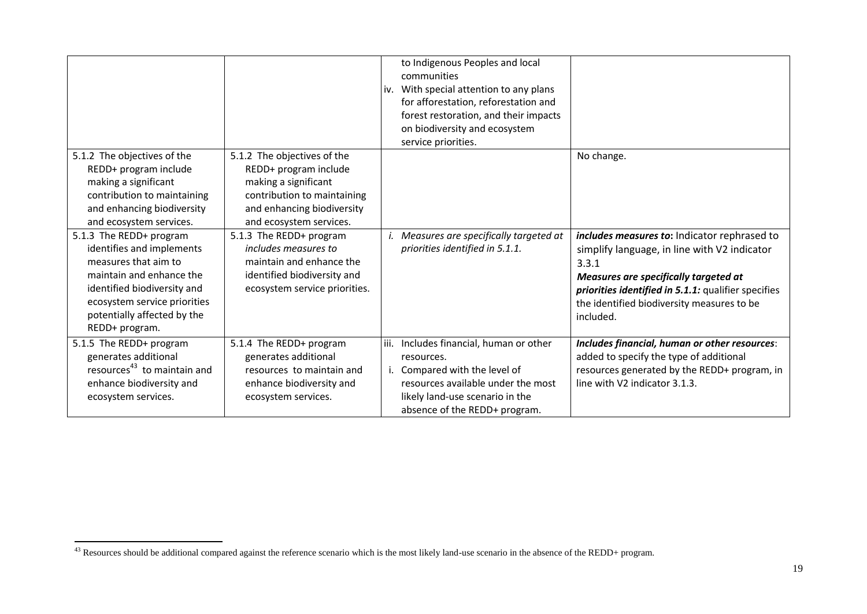|                                                                                                                                                                                                                          |                                                                                                                                                                      | iv.  | to Indigenous Peoples and local<br>communities<br>With special attention to any plans<br>for afforestation, reforestation and<br>forest restoration, and their impacts<br>on biodiversity and ecosystem<br>service priorities. |                                                                                                                                                                                                                                                                  |
|--------------------------------------------------------------------------------------------------------------------------------------------------------------------------------------------------------------------------|----------------------------------------------------------------------------------------------------------------------------------------------------------------------|------|--------------------------------------------------------------------------------------------------------------------------------------------------------------------------------------------------------------------------------|------------------------------------------------------------------------------------------------------------------------------------------------------------------------------------------------------------------------------------------------------------------|
| 5.1.2 The objectives of the<br>REDD+ program include<br>making a significant<br>contribution to maintaining<br>and enhancing biodiversity<br>and ecosystem services.                                                     | 5.1.2 The objectives of the<br>REDD+ program include<br>making a significant<br>contribution to maintaining<br>and enhancing biodiversity<br>and ecosystem services. |      |                                                                                                                                                                                                                                | No change.                                                                                                                                                                                                                                                       |
| 5.1.3 The REDD+ program<br>identifies and implements<br>measures that aim to<br>maintain and enhance the<br>identified biodiversity and<br>ecosystem service priorities<br>potentially affected by the<br>REDD+ program. | 5.1.3 The REDD+ program<br>includes measures to<br>maintain and enhance the<br>identified biodiversity and<br>ecosystem service priorities.                          |      | Measures are specifically targeted at<br>priorities identified in 5.1.1.                                                                                                                                                       | includes measures to: Indicator rephrased to<br>simplify language, in line with V2 indicator<br>3.3.1<br>Measures are specifically targeted at<br>priorities identified in 5.1.1: qualifier specifies<br>the identified biodiversity measures to be<br>included. |
| 5.1.5 The REDD+ program<br>generates additional<br>resources <sup>43</sup> to maintain and<br>enhance biodiversity and<br>ecosystem services.                                                                            | 5.1.4 The REDD+ program<br>generates additional<br>resources to maintain and<br>enhance biodiversity and<br>ecosystem services.                                      | iii. | Includes financial, human or other<br>resources.<br>Compared with the level of<br>resources available under the most<br>likely land-use scenario in the<br>absence of the REDD+ program.                                       | Includes financial, human or other resources:<br>added to specify the type of additional<br>resources generated by the REDD+ program, in<br>line with V2 indicator 3.1.3.                                                                                        |

 $^{43}$  Resources should be additional compared against the reference scenario which is the most likely land-use scenario in the absence of the REDD+ program.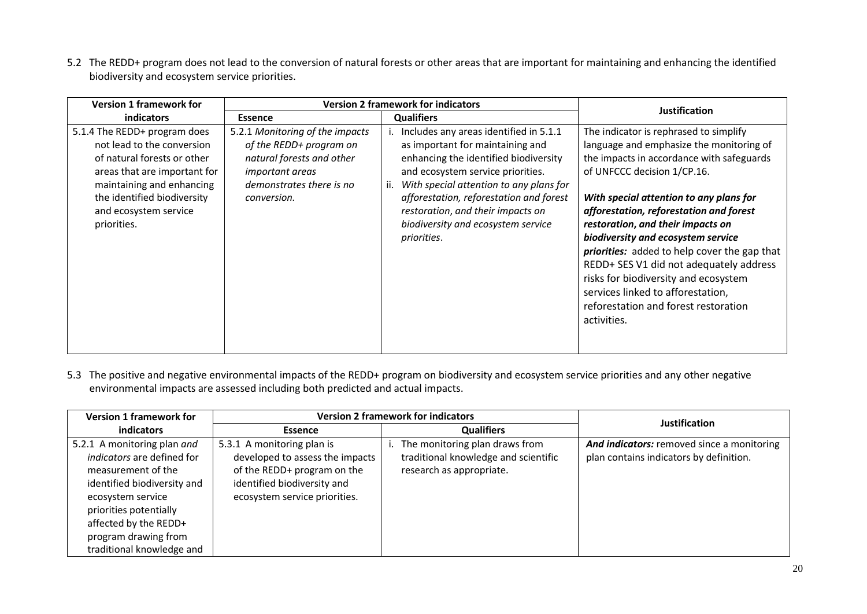5.2 The REDD+ program does not lead to the conversion of natural forests or other areas that are important for maintaining and enhancing the identified biodiversity and ecosystem service priorities.

| <b>Version 1 framework for</b>                                                                                                                                                                                                | <b>Version 2 framework for indicators</b>                                                                                                                    |                                                                                                                                                                                                                                                                                                                                              | <b>Justification</b>                                                                                                                                                                                                                                                                                                                                                                                                                                                                                                                                                  |  |
|-------------------------------------------------------------------------------------------------------------------------------------------------------------------------------------------------------------------------------|--------------------------------------------------------------------------------------------------------------------------------------------------------------|----------------------------------------------------------------------------------------------------------------------------------------------------------------------------------------------------------------------------------------------------------------------------------------------------------------------------------------------|-----------------------------------------------------------------------------------------------------------------------------------------------------------------------------------------------------------------------------------------------------------------------------------------------------------------------------------------------------------------------------------------------------------------------------------------------------------------------------------------------------------------------------------------------------------------------|--|
| <b>indicators</b><br><b>Essence</b>                                                                                                                                                                                           |                                                                                                                                                              | <b>Qualifiers</b>                                                                                                                                                                                                                                                                                                                            |                                                                                                                                                                                                                                                                                                                                                                                                                                                                                                                                                                       |  |
| 5.1.4 The REDD+ program does<br>not lead to the conversion<br>of natural forests or other<br>areas that are important for<br>maintaining and enhancing<br>the identified biodiversity<br>and ecosystem service<br>priorities. | 5.2.1 Monitoring of the impacts<br>of the REDD+ program on<br>natural forests and other<br><i>important areas</i><br>demonstrates there is no<br>conversion. | Includes any areas identified in 5.1.1<br>as important for maintaining and<br>enhancing the identified biodiversity<br>and ecosystem service priorities.<br>ii. With special attention to any plans for<br>afforestation, reforestation and forest<br>restoration, and their impacts on<br>biodiversity and ecosystem service<br>priorities. | The indicator is rephrased to simplify<br>language and emphasize the monitoring of<br>the impacts in accordance with safeguards<br>of UNFCCC decision 1/CP.16.<br>With special attention to any plans for<br>afforestation, reforestation and forest<br>restoration, and their impacts on<br>biodiversity and ecosystem service<br><i>priorities:</i> added to help cover the gap that<br>REDD+ SES V1 did not adequately address<br>risks for biodiversity and ecosystem<br>services linked to afforestation,<br>reforestation and forest restoration<br>activities. |  |

5.3 The positive and negative environmental impacts of the REDD+ program on biodiversity and ecosystem service priorities and any other negative environmental impacts are assessed including both predicted and actual impacts.

| <b>Version 1 framework for</b>                                                                                                                                                                                                              | <b>Version 2 framework for indicators</b>                                                                                                                    |                                                                                                    | Justification                                                                         |
|---------------------------------------------------------------------------------------------------------------------------------------------------------------------------------------------------------------------------------------------|--------------------------------------------------------------------------------------------------------------------------------------------------------------|----------------------------------------------------------------------------------------------------|---------------------------------------------------------------------------------------|
| indicators                                                                                                                                                                                                                                  | <b>Essence</b>                                                                                                                                               | <b>Qualifiers</b>                                                                                  |                                                                                       |
| 5.2.1 A monitoring plan and<br>indicators are defined for<br>measurement of the<br>identified biodiversity and<br>ecosystem service<br>priorities potentially<br>affected by the REDD+<br>program drawing from<br>traditional knowledge and | 5.3.1 A monitoring plan is<br>developed to assess the impacts<br>of the REDD+ program on the<br>identified biodiversity and<br>ecosystem service priorities. | The monitoring plan draws from<br>traditional knowledge and scientific<br>research as appropriate. | And indicators: removed since a monitoring<br>plan contains indicators by definition. |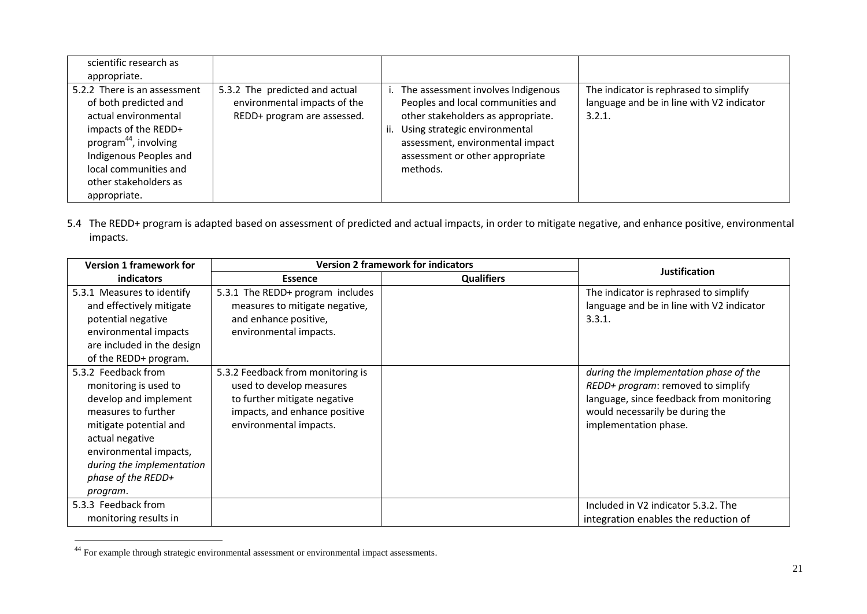| scientific research as                                                                                                                                                                                                                 |                                                                                               |     |                                                                                                                                                                                                                                   |                                                                                              |
|----------------------------------------------------------------------------------------------------------------------------------------------------------------------------------------------------------------------------------------|-----------------------------------------------------------------------------------------------|-----|-----------------------------------------------------------------------------------------------------------------------------------------------------------------------------------------------------------------------------------|----------------------------------------------------------------------------------------------|
| appropriate.                                                                                                                                                                                                                           |                                                                                               |     |                                                                                                                                                                                                                                   |                                                                                              |
| 5.2.2 There is an assessment<br>of both predicted and<br>actual environmental<br>impacts of the REDD+<br>program <sup>44</sup> , involving<br>Indigenous Peoples and<br>local communities and<br>other stakeholders as<br>appropriate. | 5.3.2 The predicted and actual<br>environmental impacts of the<br>REDD+ program are assessed. | ii. | The assessment involves Indigenous<br>Peoples and local communities and<br>other stakeholders as appropriate.<br>Using strategic environmental<br>assessment, environmental impact<br>assessment or other appropriate<br>methods. | The indicator is rephrased to simplify<br>language and be in line with V2 indicator<br>3.2.1 |

5.4 The REDD+ program is adapted based on assessment of predicted and actual impacts, in order to mitigate negative, and enhance positive, environmental impacts.

| <b>Version 1 framework for</b> | <b>Version 2 framework for indicators</b> |                   | <b>Justification</b>                      |
|--------------------------------|-------------------------------------------|-------------------|-------------------------------------------|
| <i>indicators</i>              | <b>Essence</b>                            | <b>Qualifiers</b> |                                           |
| 5.3.1 Measures to identify     | 5.3.1 The REDD+ program includes          |                   | The indicator is rephrased to simplify    |
| and effectively mitigate       | measures to mitigate negative,            |                   | language and be in line with V2 indicator |
| potential negative             | and enhance positive,                     |                   | 3.3.1.                                    |
| environmental impacts          | environmental impacts.                    |                   |                                           |
| are included in the design     |                                           |                   |                                           |
| of the REDD+ program.          |                                           |                   |                                           |
| 5.3.2 Feedback from            | 5.3.2 Feedback from monitoring is         |                   | during the implementation phase of the    |
| monitoring is used to          | used to develop measures                  |                   | REDD+ program: removed to simplify        |
| develop and implement          | to further mitigate negative              |                   | language, since feedback from monitoring  |
| measures to further            | impacts, and enhance positive             |                   | would necessarily be during the           |
| mitigate potential and         | environmental impacts.                    |                   | implementation phase.                     |
| actual negative                |                                           |                   |                                           |
| environmental impacts,         |                                           |                   |                                           |
| during the implementation      |                                           |                   |                                           |
| phase of the REDD+             |                                           |                   |                                           |
| program.                       |                                           |                   |                                           |
| 5.3.3 Feedback from            |                                           |                   | Included in V2 indicator 5.3.2. The       |
| monitoring results in          |                                           |                   | integration enables the reduction of      |

 $44$  For example through strategic environmental assessment or environmental impact assessments.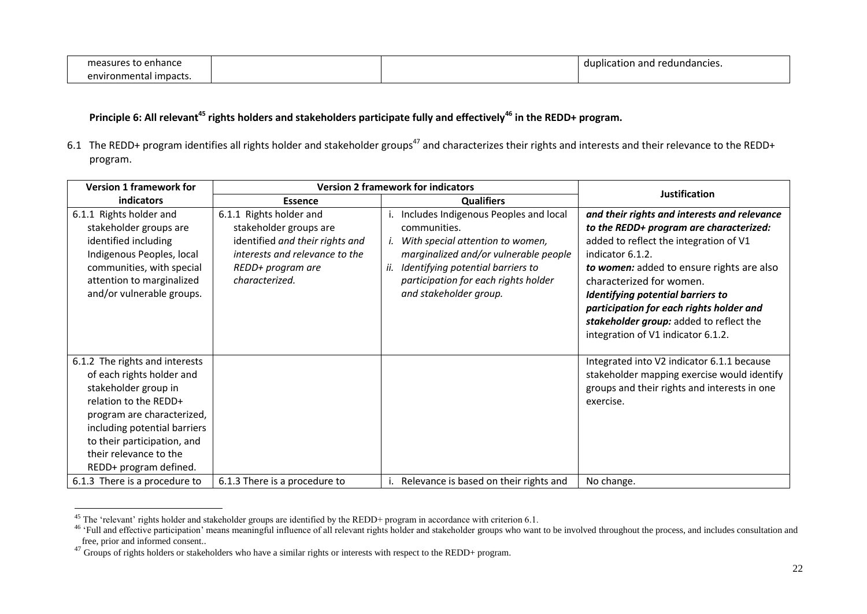| to enhance<br>`asures<br>me. |  | . .<br>$\, \hat{}\,$ and redundancies.<br>duplication |
|------------------------------|--|-------------------------------------------------------|
| impacts.<br>environmental    |  |                                                       |

# **Principle 6: All relevant<sup>45</sup> rights holders and stakeholders participate fully and effectively<sup>46</sup> in the REDD+ program.**

6.1 The REDD+ program identifies all rights holder and stakeholder groups<sup>47</sup> and characterizes their rights and interests and their relevance to the REDD+ program.

| <b>Version 1 framework for</b>                                                                                                                                                                                                                                | <b>Version 2 framework for indicators</b>                                                                                                                     |                                                                                                                                                                                                                                                  | <b>Justification</b>                                                                                                                                                                                                                                                                                                                                                                             |
|---------------------------------------------------------------------------------------------------------------------------------------------------------------------------------------------------------------------------------------------------------------|---------------------------------------------------------------------------------------------------------------------------------------------------------------|--------------------------------------------------------------------------------------------------------------------------------------------------------------------------------------------------------------------------------------------------|--------------------------------------------------------------------------------------------------------------------------------------------------------------------------------------------------------------------------------------------------------------------------------------------------------------------------------------------------------------------------------------------------|
| indicators                                                                                                                                                                                                                                                    | <b>Essence</b>                                                                                                                                                | <b>Qualifiers</b>                                                                                                                                                                                                                                |                                                                                                                                                                                                                                                                                                                                                                                                  |
| 6.1.1 Rights holder and<br>stakeholder groups are<br>identified including<br>Indigenous Peoples, local<br>communities, with special<br>attention to marginalized<br>and/or vulnerable groups.                                                                 | 6.1.1 Rights holder and<br>stakeholder groups are<br>identified and their rights and<br>interests and relevance to the<br>REDD+ program are<br>characterized. | Includes Indigenous Peoples and local<br>communities.<br>With special attention to women,<br>marginalized and/or vulnerable people<br>Identifying potential barriers to<br>ii.<br>participation for each rights holder<br>and stakeholder group. | and their rights and interests and relevance<br>to the REDD+ program are characterized:<br>added to reflect the integration of V1<br>indicator 6.1.2.<br>to women: added to ensure rights are also<br>characterized for women.<br>Identifying potential barriers to<br>participation for each rights holder and<br>stakeholder group: added to reflect the<br>integration of V1 indicator 6.1.2. |
| 6.1.2 The rights and interests<br>of each rights holder and<br>stakeholder group in<br>relation to the REDD+<br>program are characterized,<br>including potential barriers<br>to their participation, and<br>their relevance to the<br>REDD+ program defined. |                                                                                                                                                               |                                                                                                                                                                                                                                                  | Integrated into V2 indicator 6.1.1 because<br>stakeholder mapping exercise would identify<br>groups and their rights and interests in one<br>exercise.                                                                                                                                                                                                                                           |
| 6.1.3 There is a procedure to                                                                                                                                                                                                                                 | 6.1.3 There is a procedure to                                                                                                                                 | Relevance is based on their rights and                                                                                                                                                                                                           | No change.                                                                                                                                                                                                                                                                                                                                                                                       |

 $45$  The 'relevant' rights holder and stakeholder groups are identified by the REDD+ program in accordance with criterion 6.1.

<sup>&</sup>lt;sup>46</sup> 'Full and effective participation' means meaningful influence of all relevant rights holder and stakeholder groups who want to be involved throughout the process, and includes consultation and free, prior and informed consent..

<sup>47</sup> Groups of rights holders or stakeholders who have a similar rights or interests with respect to the REDD+ program.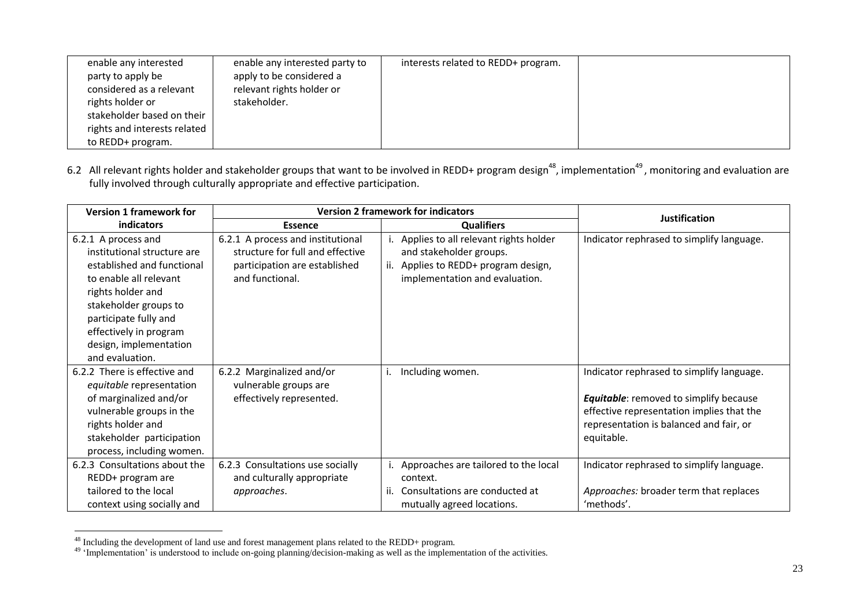| enable any interested        | enable any interested party to | interests related to REDD+ program. |  |
|------------------------------|--------------------------------|-------------------------------------|--|
| party to apply be            | apply to be considered a       |                                     |  |
| considered as a relevant     | relevant rights holder or      |                                     |  |
| rights holder or             | stakeholder.                   |                                     |  |
| stakeholder based on their   |                                |                                     |  |
| rights and interests related |                                |                                     |  |
| to REDD+ program.            |                                |                                     |  |

6.2 All relevant rights holder and stakeholder groups that want to be involved in REDD+ program design<sup>48</sup>, implementation<sup>49</sup>, monitoring and evaluation are fully involved through culturally appropriate and effective participation.

| <b>Version 1 framework for</b>                                                                                                                                                                                                                           | <b>Version 2 framework for indicators</b>                                                                                 |                                                                                                                                               | <b>Justification</b>                                                                                                                                                                             |
|----------------------------------------------------------------------------------------------------------------------------------------------------------------------------------------------------------------------------------------------------------|---------------------------------------------------------------------------------------------------------------------------|-----------------------------------------------------------------------------------------------------------------------------------------------|--------------------------------------------------------------------------------------------------------------------------------------------------------------------------------------------------|
| indicators                                                                                                                                                                                                                                               | <b>Essence</b>                                                                                                            | <b>Qualifiers</b>                                                                                                                             |                                                                                                                                                                                                  |
| 6.2.1 A process and<br>institutional structure are<br>established and functional<br>to enable all relevant<br>rights holder and<br>stakeholder groups to<br>participate fully and<br>effectively in program<br>design, implementation<br>and evaluation. | 6.2.1 A process and institutional<br>structure for full and effective<br>participation are established<br>and functional. | Applies to all relevant rights holder<br>and stakeholder groups.<br>Applies to REDD+ program design,<br>ii.<br>implementation and evaluation. | Indicator rephrased to simplify language.                                                                                                                                                        |
| 6.2.2 There is effective and<br>equitable representation<br>of marginalized and/or<br>vulnerable groups in the<br>rights holder and<br>stakeholder participation<br>process, including women.                                                            | 6.2.2 Marginalized and/or<br>vulnerable groups are<br>effectively represented.                                            | Including women.                                                                                                                              | Indicator rephrased to simplify language.<br><b>Equitable:</b> removed to simplify because<br>effective representation implies that the<br>representation is balanced and fair, or<br>equitable. |
| 6.2.3 Consultations about the<br>REDD+ program are<br>tailored to the local<br>context using socially and                                                                                                                                                | 6.2.3 Consultations use socially<br>and culturally appropriate<br>approaches.                                             | Approaches are tailored to the local<br>context.<br>Consultations are conducted at<br>ij.<br>mutually agreed locations.                       | Indicator rephrased to simplify language.<br>Approaches: broader term that replaces<br>'methods'.                                                                                                |

<sup>&</sup>lt;sup>48</sup> Including the development of land use and forest management plans related to the REDD+ program.

 $49$  'Implementation' is understood to include on-going planning/decision-making as well as the implementation of the activities.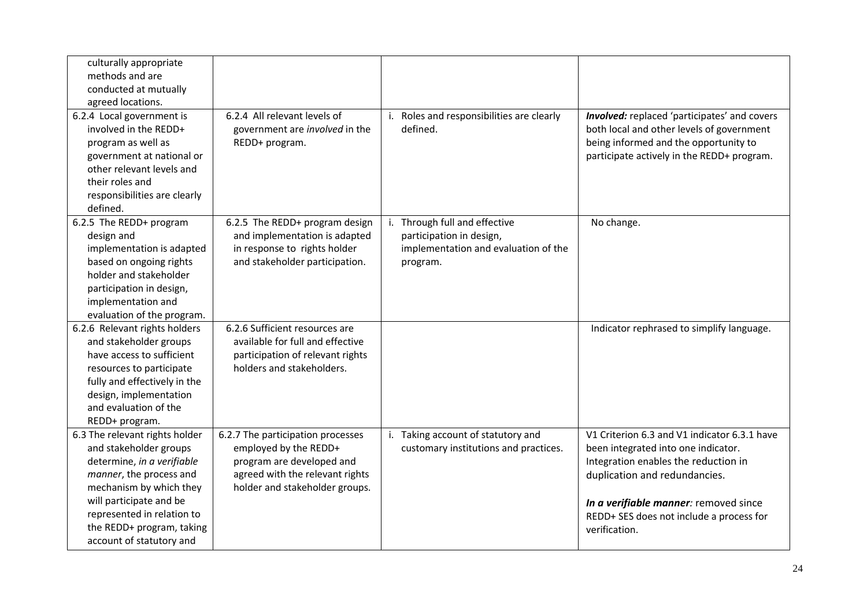| culturally appropriate<br>methods and are<br>conducted at mutually<br>agreed locations.                                                                                                                                                                        |                                                                                                                                                              |                                                                                                               |                                                                                                                                                                                                                                                                    |
|----------------------------------------------------------------------------------------------------------------------------------------------------------------------------------------------------------------------------------------------------------------|--------------------------------------------------------------------------------------------------------------------------------------------------------------|---------------------------------------------------------------------------------------------------------------|--------------------------------------------------------------------------------------------------------------------------------------------------------------------------------------------------------------------------------------------------------------------|
| 6.2.4 Local government is<br>involved in the REDD+<br>program as well as<br>government at national or<br>other relevant levels and<br>their roles and<br>responsibilities are clearly<br>defined.                                                              | 6.2.4 All relevant levels of<br>government are involved in the<br>REDD+ program.                                                                             | Roles and responsibilities are clearly<br>i.<br>defined.                                                      | Involved: replaced 'participates' and covers<br>both local and other levels of government<br>being informed and the opportunity to<br>participate actively in the REDD+ program.                                                                                   |
| 6.2.5 The REDD+ program<br>design and<br>implementation is adapted<br>based on ongoing rights<br>holder and stakeholder<br>participation in design,<br>implementation and<br>evaluation of the program.                                                        | 6.2.5 The REDD+ program design<br>and implementation is adapted<br>in response to rights holder<br>and stakeholder participation.                            | i. Through full and effective<br>participation in design,<br>implementation and evaluation of the<br>program. | No change.                                                                                                                                                                                                                                                         |
| 6.2.6 Relevant rights holders<br>and stakeholder groups<br>have access to sufficient<br>resources to participate<br>fully and effectively in the<br>design, implementation<br>and evaluation of the<br>REDD+ program.                                          | 6.2.6 Sufficient resources are<br>available for full and effective<br>participation of relevant rights<br>holders and stakeholders.                          |                                                                                                               | Indicator rephrased to simplify language.                                                                                                                                                                                                                          |
| 6.3 The relevant rights holder<br>and stakeholder groups<br>determine, in a verifiable<br>manner, the process and<br>mechanism by which they<br>will participate and be<br>represented in relation to<br>the REDD+ program, taking<br>account of statutory and | 6.2.7 The participation processes<br>employed by the REDD+<br>program are developed and<br>agreed with the relevant rights<br>holder and stakeholder groups. | i. Taking account of statutory and<br>customary institutions and practices.                                   | V1 Criterion 6.3 and V1 indicator 6.3.1 have<br>been integrated into one indicator.<br>Integration enables the reduction in<br>duplication and redundancies.<br>In a verifiable manner: removed since<br>REDD+ SES does not include a process for<br>verification. |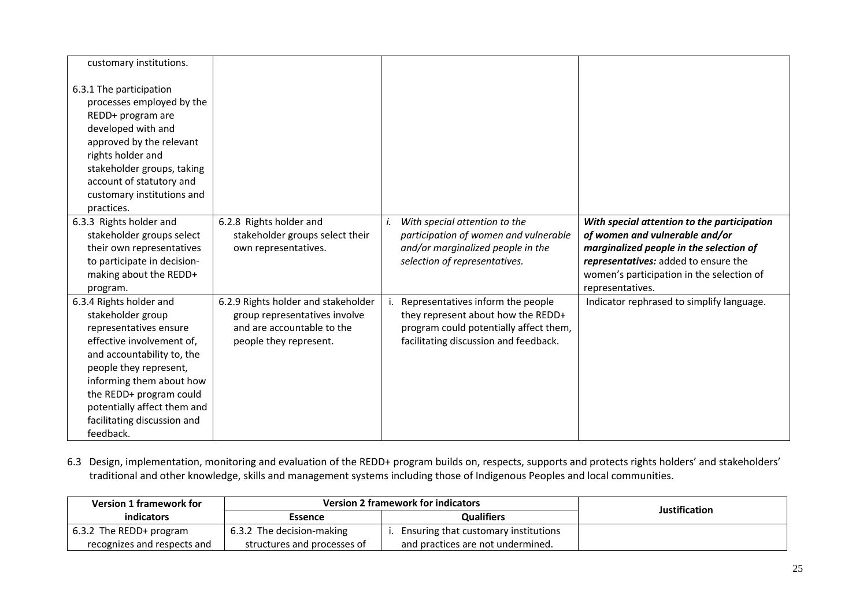| customary institutions.                                                                                                                                                                                                                                                                       |                                                                                                                              |                                                                                                                                                                                                                                                                                                                                                                                   |  |
|-----------------------------------------------------------------------------------------------------------------------------------------------------------------------------------------------------------------------------------------------------------------------------------------------|------------------------------------------------------------------------------------------------------------------------------|-----------------------------------------------------------------------------------------------------------------------------------------------------------------------------------------------------------------------------------------------------------------------------------------------------------------------------------------------------------------------------------|--|
| 6.3.1 The participation<br>processes employed by the<br>REDD+ program are<br>developed with and<br>approved by the relevant<br>rights holder and<br>stakeholder groups, taking<br>account of statutory and<br>customary institutions and<br>practices.                                        |                                                                                                                              |                                                                                                                                                                                                                                                                                                                                                                                   |  |
| 6.3.3 Rights holder and<br>stakeholder groups select<br>their own representatives<br>to participate in decision-<br>making about the REDD+<br>program.                                                                                                                                        | 6.2.8 Rights holder and<br>stakeholder groups select their<br>own representatives.                                           | With special attention to the<br>With special attention to the participation<br>of women and vulnerable and/or<br>participation of women and vulnerable<br>and/or marginalized people in the<br>marginalized people in the selection of<br>representatives: added to ensure the<br>selection of representatives.<br>women's participation in the selection of<br>representatives. |  |
| 6.3.4 Rights holder and<br>stakeholder group<br>representatives ensure<br>effective involvement of,<br>and accountability to, the<br>people they represent,<br>informing them about how<br>the REDD+ program could<br>potentially affect them and<br>facilitating discussion and<br>feedback. | 6.2.9 Rights holder and stakeholder<br>group representatives involve<br>and are accountable to the<br>people they represent. | Representatives inform the people<br>Indicator rephrased to simplify language.<br>they represent about how the REDD+<br>program could potentially affect them,<br>facilitating discussion and feedback.                                                                                                                                                                           |  |

6.3 Design, implementation, monitoring and evaluation of the REDD+ program builds on, respects, supports and protects rights holders' and stakeholders' traditional and other knowledge, skills and management systems including those of Indigenous Peoples and local communities.

| <b>Version 1 framework for</b>  | <b>Version 2 framework for indicators</b> | <b>Justification</b>                 |  |
|---------------------------------|-------------------------------------------|--------------------------------------|--|
| indicators                      | Essence                                   | <b>Qualifiers</b>                    |  |
| $\vert$ 6.3.2 The REDD+ program | 6.3.2 The decision-making                 | Ensuring that customary institutions |  |
| recognizes and respects and     | structures and processes of               | and practices are not undermined.    |  |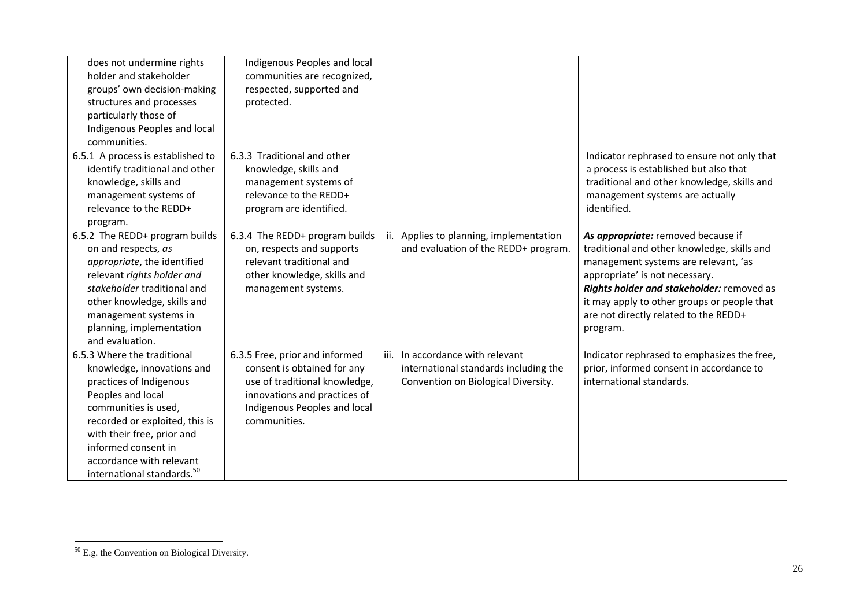| does not undermine rights<br>holder and stakeholder<br>groups' own decision-making<br>structures and processes<br>particularly those of<br>Indigenous Peoples and local<br>communities.                                                                                                        | Indigenous Peoples and local<br>communities are recognized,<br>respected, supported and<br>protected.                                                                          |                                                                                                                  |                                                                                                                                                                                                                                                                                                              |
|------------------------------------------------------------------------------------------------------------------------------------------------------------------------------------------------------------------------------------------------------------------------------------------------|--------------------------------------------------------------------------------------------------------------------------------------------------------------------------------|------------------------------------------------------------------------------------------------------------------|--------------------------------------------------------------------------------------------------------------------------------------------------------------------------------------------------------------------------------------------------------------------------------------------------------------|
| 6.5.1 A process is established to<br>identify traditional and other<br>knowledge, skills and<br>management systems of<br>relevance to the REDD+<br>program.                                                                                                                                    | 6.3.3 Traditional and other<br>knowledge, skills and<br>management systems of<br>relevance to the REDD+<br>program are identified.                                             |                                                                                                                  | Indicator rephrased to ensure not only that<br>a process is established but also that<br>traditional and other knowledge, skills and<br>management systems are actually<br>identified.                                                                                                                       |
| 6.5.2 The REDD+ program builds<br>on and respects, as<br>appropriate, the identified<br>relevant rights holder and<br>stakeholder traditional and<br>other knowledge, skills and<br>management systems in<br>planning, implementation<br>and evaluation.                                       | 6.3.4 The REDD+ program builds<br>on, respects and supports<br>relevant traditional and<br>other knowledge, skills and<br>management systems.                                  | ii. Applies to planning, implementation<br>and evaluation of the REDD+ program.                                  | As appropriate: removed because if<br>traditional and other knowledge, skills and<br>management systems are relevant, 'as<br>appropriate' is not necessary.<br>Rights holder and stakeholder: removed as<br>it may apply to other groups or people that<br>are not directly related to the REDD+<br>program. |
| 6.5.3 Where the traditional<br>knowledge, innovations and<br>practices of Indigenous<br>Peoples and local<br>communities is used,<br>recorded or exploited, this is<br>with their free, prior and<br>informed consent in<br>accordance with relevant<br>international standards. <sup>50</sup> | 6.3.5 Free, prior and informed<br>consent is obtained for any<br>use of traditional knowledge,<br>innovations and practices of<br>Indigenous Peoples and local<br>communities. | iii. In accordance with relevant<br>international standards including the<br>Convention on Biological Diversity. | Indicator rephrased to emphasizes the free,<br>prior, informed consent in accordance to<br>international standards.                                                                                                                                                                                          |

 $50$  E.g. the Convention on Biological Diversity.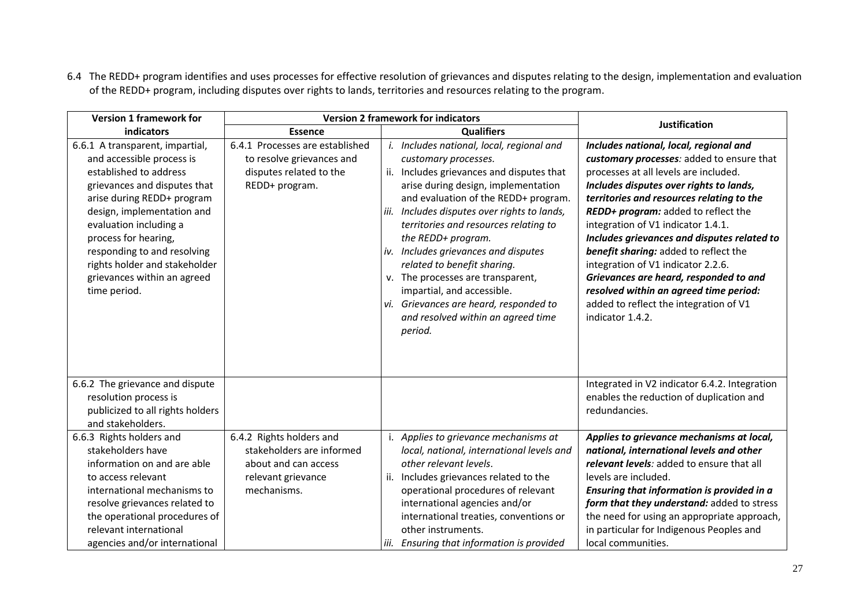6.4 The REDD+ program identifies and uses processes for effective resolution of grievances and disputes relating to the design, implementation and evaluation of the REDD+ program, including disputes over rights to lands, territories and resources relating to the program.

| <b>Version 1 framework for</b>                                                                                                                                                                                                                                                                                                                      | <b>Version 2 framework for indicators</b>                                                                          | <b>Justification</b>                                                                                                                                                                                                                                                                                                                                                                                                                                                                                                                                    |                                                                                                                                                                                                                                                                                                                                                                                                                                                                                                                                                                                   |
|-----------------------------------------------------------------------------------------------------------------------------------------------------------------------------------------------------------------------------------------------------------------------------------------------------------------------------------------------------|--------------------------------------------------------------------------------------------------------------------|---------------------------------------------------------------------------------------------------------------------------------------------------------------------------------------------------------------------------------------------------------------------------------------------------------------------------------------------------------------------------------------------------------------------------------------------------------------------------------------------------------------------------------------------------------|-----------------------------------------------------------------------------------------------------------------------------------------------------------------------------------------------------------------------------------------------------------------------------------------------------------------------------------------------------------------------------------------------------------------------------------------------------------------------------------------------------------------------------------------------------------------------------------|
| indicators                                                                                                                                                                                                                                                                                                                                          | <b>Essence</b>                                                                                                     | <b>Qualifiers</b>                                                                                                                                                                                                                                                                                                                                                                                                                                                                                                                                       |                                                                                                                                                                                                                                                                                                                                                                                                                                                                                                                                                                                   |
| 6.6.1 A transparent, impartial,<br>and accessible process is<br>established to address<br>grievances and disputes that<br>arise during REDD+ program<br>design, implementation and<br>evaluation including a<br>process for hearing,<br>responding to and resolving<br>rights holder and stakeholder<br>grievances within an agreed<br>time period. | 6.4.1 Processes are established<br>to resolve grievances and<br>disputes related to the<br>REDD+ program.          | i. Includes national, local, regional and<br>customary processes.<br>ii. Includes grievances and disputes that<br>arise during design, implementation<br>and evaluation of the REDD+ program.<br>Includes disputes over rights to lands,<br>iii.<br>territories and resources relating to<br>the REDD+ program.<br>iv. Includes grievances and disputes<br>related to benefit sharing.<br>v. The processes are transparent,<br>impartial, and accessible.<br>Grievances are heard, responded to<br>vi.<br>and resolved within an agreed time<br>period. | Includes national, local, regional and<br>customary processes: added to ensure that<br>processes at all levels are included.<br>Includes disputes over rights to lands,<br>territories and resources relating to the<br>REDD+ program: added to reflect the<br>integration of V1 indicator 1.4.1.<br>Includes grievances and disputes related to<br>benefit sharing: added to reflect the<br>integration of V1 indicator 2.2.6.<br>Grievances are heard, responded to and<br>resolved within an agreed time period:<br>added to reflect the integration of V1<br>indicator 1.4.2. |
| 6.6.2 The grievance and dispute<br>resolution process is<br>publicized to all rights holders<br>and stakeholders.                                                                                                                                                                                                                                   |                                                                                                                    |                                                                                                                                                                                                                                                                                                                                                                                                                                                                                                                                                         | Integrated in V2 indicator 6.4.2. Integration<br>enables the reduction of duplication and<br>redundancies.                                                                                                                                                                                                                                                                                                                                                                                                                                                                        |
| 6.6.3 Rights holders and<br>stakeholders have<br>information on and are able<br>to access relevant<br>international mechanisms to<br>resolve grievances related to<br>the operational procedures of<br>relevant international<br>agencies and/or international                                                                                      | 6.4.2 Rights holders and<br>stakeholders are informed<br>about and can access<br>relevant grievance<br>mechanisms. | i. Applies to grievance mechanisms at<br>local, national, international levels and<br>other relevant levels.<br>Includes grievances related to the<br>ii.<br>operational procedures of relevant<br>international agencies and/or<br>international treaties, conventions or<br>other instruments.<br>iii. Ensuring that information is provided                                                                                                                                                                                                          | Applies to grievance mechanisms at local,<br>national, international levels and other<br>relevant levels: added to ensure that all<br>levels are included.<br>Ensuring that information is provided in a<br>form that they understand: added to stress<br>the need for using an appropriate approach,<br>in particular for Indigenous Peoples and<br>local communities.                                                                                                                                                                                                           |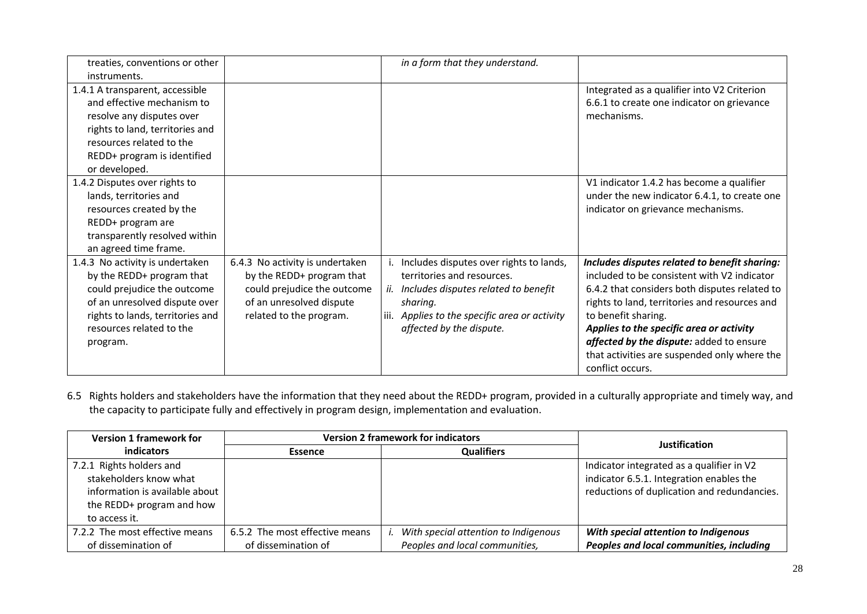| treaties, conventions or other   |                                 |      | in a form that they understand.          |                                               |
|----------------------------------|---------------------------------|------|------------------------------------------|-----------------------------------------------|
| instruments.                     |                                 |      |                                          |                                               |
| 1.4.1 A transparent, accessible  |                                 |      |                                          | Integrated as a qualifier into V2 Criterion   |
| and effective mechanism to       |                                 |      |                                          | 6.6.1 to create one indicator on grievance    |
| resolve any disputes over        |                                 |      |                                          | mechanisms.                                   |
| rights to land, territories and  |                                 |      |                                          |                                               |
| resources related to the         |                                 |      |                                          |                                               |
| REDD+ program is identified      |                                 |      |                                          |                                               |
| or developed.                    |                                 |      |                                          |                                               |
| 1.4.2 Disputes over rights to    |                                 |      |                                          | V1 indicator 1.4.2 has become a qualifier     |
| lands, territories and           |                                 |      |                                          | under the new indicator 6.4.1, to create one  |
| resources created by the         |                                 |      |                                          | indicator on grievance mechanisms.            |
| REDD+ program are                |                                 |      |                                          |                                               |
| transparently resolved within    |                                 |      |                                          |                                               |
| an agreed time frame.            |                                 |      |                                          |                                               |
| 1.4.3 No activity is undertaken  | 6.4.3 No activity is undertaken |      | Includes disputes over rights to lands,  | Includes disputes related to benefit sharing: |
| by the REDD+ program that        | by the REDD+ program that       |      | territories and resources.               | included to be consistent with V2 indicator   |
| could prejudice the outcome      | could prejudice the outcome     |      | ii. Includes disputes related to benefit | 6.4.2 that considers both disputes related to |
| of an unresolved dispute over    | of an unresolved dispute        |      | sharing.                                 | rights to land, territories and resources and |
| rights to lands, territories and | related to the program.         | iii. | Applies to the specific area or activity | to benefit sharing.                           |
| resources related to the         |                                 |      | affected by the dispute.                 | Applies to the specific area or activity      |
| program.                         |                                 |      |                                          | affected by the dispute: added to ensure      |
|                                  |                                 |      |                                          | that activities are suspended only where the  |
|                                  |                                 |      |                                          | conflict occurs.                              |

6.5 Rights holders and stakeholders have the information that they need about the REDD+ program, provided in a culturally appropriate and timely way, and the capacity to participate fully and effectively in program design, implementation and evaluation.

| <b>Version 1 framework for</b> | <b>Version 2 framework for indicators</b> |  |                                      | Justification                               |
|--------------------------------|-------------------------------------------|--|--------------------------------------|---------------------------------------------|
| <b>indicators</b>              | <b>Essence</b>                            |  | <b>Qualifiers</b>                    |                                             |
| 7.2.1 Rights holders and       |                                           |  |                                      | Indicator integrated as a qualifier in V2   |
| stakeholders know what         |                                           |  |                                      | indicator 6.5.1. Integration enables the    |
| information is available about |                                           |  |                                      | reductions of duplication and redundancies. |
| the REDD+ program and how      |                                           |  |                                      |                                             |
| to access it.                  |                                           |  |                                      |                                             |
| 7.2.2 The most effective means | 6.5.2 The most effective means            |  | With special attention to Indigenous | With special attention to Indigenous        |
| of dissemination of            | of dissemination of                       |  | Peoples and local communities,       | Peoples and local communities, including    |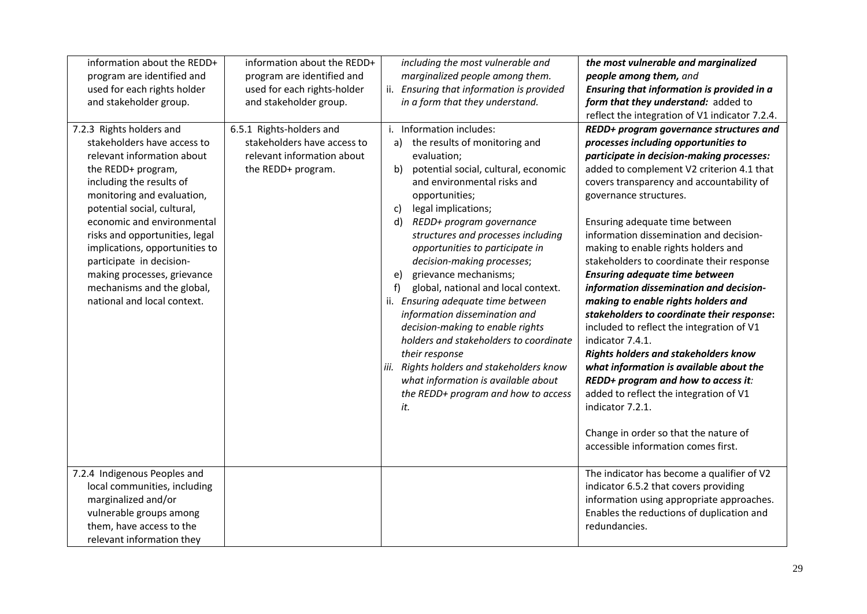| information about the REDD+<br>program are identified and<br>used for each rights holder<br>and stakeholder group.<br>7.2.3 Rights holders and<br>stakeholders have access to<br>relevant information about<br>the REDD+ program,<br>including the results of<br>monitoring and evaluation,<br>potential social, cultural,<br>economic and environmental<br>risks and opportunities, legal<br>implications, opportunities to<br>participate in decision-<br>making processes, grievance<br>mechanisms and the global,<br>national and local context. | information about the REDD+<br>program are identified and<br>used for each rights-holder<br>and stakeholder group.<br>6.5.1 Rights-holders and<br>stakeholders have access to<br>relevant information about<br>the REDD+ program. | including the most vulnerable and<br>marginalized people among them.<br>ii. Ensuring that information is provided<br>in a form that they understand.<br>i. Information includes:<br>the results of monitoring and<br>a)<br>evaluation;<br>potential social, cultural, economic<br>b)<br>and environmental risks and<br>opportunities;<br>legal implications;<br>C)<br>d)<br>REDD+ program governance<br>structures and processes including<br>opportunities to participate in<br>decision-making processes;<br>grievance mechanisms;<br>$\epsilon$<br>global, national and local context.<br>f)<br>ii. Ensuring adequate time between<br>information dissemination and<br>decision-making to enable rights<br>holders and stakeholders to coordinate<br>their response<br>iii. Rights holders and stakeholders know<br>what information is available about<br>the REDD+ program and how to access<br>it. | the most vulnerable and marginalized<br>people among them, and<br>Ensuring that information is provided in a<br>form that they understand: added to<br>reflect the integration of V1 indicator 7.2.4.<br>REDD+ program governance structures and<br>processes including opportunities to<br>participate in decision-making processes:<br>added to complement V2 criterion 4.1 that<br>covers transparency and accountability of<br>governance structures.<br>Ensuring adequate time between<br>information dissemination and decision-<br>making to enable rights holders and<br>stakeholders to coordinate their response<br><b>Ensuring adequate time between</b><br>information dissemination and decision-<br>making to enable rights holders and<br>stakeholders to coordinate their response:<br>included to reflect the integration of V1<br>indicator 7.4.1.<br><b>Rights holders and stakeholders know</b><br>what information is available about the<br>REDD+ program and how to access it:<br>added to reflect the integration of V1<br>indicator 7.2.1. |
|------------------------------------------------------------------------------------------------------------------------------------------------------------------------------------------------------------------------------------------------------------------------------------------------------------------------------------------------------------------------------------------------------------------------------------------------------------------------------------------------------------------------------------------------------|-----------------------------------------------------------------------------------------------------------------------------------------------------------------------------------------------------------------------------------|----------------------------------------------------------------------------------------------------------------------------------------------------------------------------------------------------------------------------------------------------------------------------------------------------------------------------------------------------------------------------------------------------------------------------------------------------------------------------------------------------------------------------------------------------------------------------------------------------------------------------------------------------------------------------------------------------------------------------------------------------------------------------------------------------------------------------------------------------------------------------------------------------------|---------------------------------------------------------------------------------------------------------------------------------------------------------------------------------------------------------------------------------------------------------------------------------------------------------------------------------------------------------------------------------------------------------------------------------------------------------------------------------------------------------------------------------------------------------------------------------------------------------------------------------------------------------------------------------------------------------------------------------------------------------------------------------------------------------------------------------------------------------------------------------------------------------------------------------------------------------------------------------------------------------------------------------------------------------------------|
|                                                                                                                                                                                                                                                                                                                                                                                                                                                                                                                                                      |                                                                                                                                                                                                                                   |                                                                                                                                                                                                                                                                                                                                                                                                                                                                                                                                                                                                                                                                                                                                                                                                                                                                                                          | Change in order so that the nature of<br>accessible information comes first.                                                                                                                                                                                                                                                                                                                                                                                                                                                                                                                                                                                                                                                                                                                                                                                                                                                                                                                                                                                        |
| 7.2.4 Indigenous Peoples and<br>local communities, including<br>marginalized and/or<br>vulnerable groups among<br>them, have access to the<br>relevant information they                                                                                                                                                                                                                                                                                                                                                                              |                                                                                                                                                                                                                                   |                                                                                                                                                                                                                                                                                                                                                                                                                                                                                                                                                                                                                                                                                                                                                                                                                                                                                                          | The indicator has become a qualifier of V2<br>indicator 6.5.2 that covers providing<br>information using appropriate approaches.<br>Enables the reductions of duplication and<br>redundancies.                                                                                                                                                                                                                                                                                                                                                                                                                                                                                                                                                                                                                                                                                                                                                                                                                                                                      |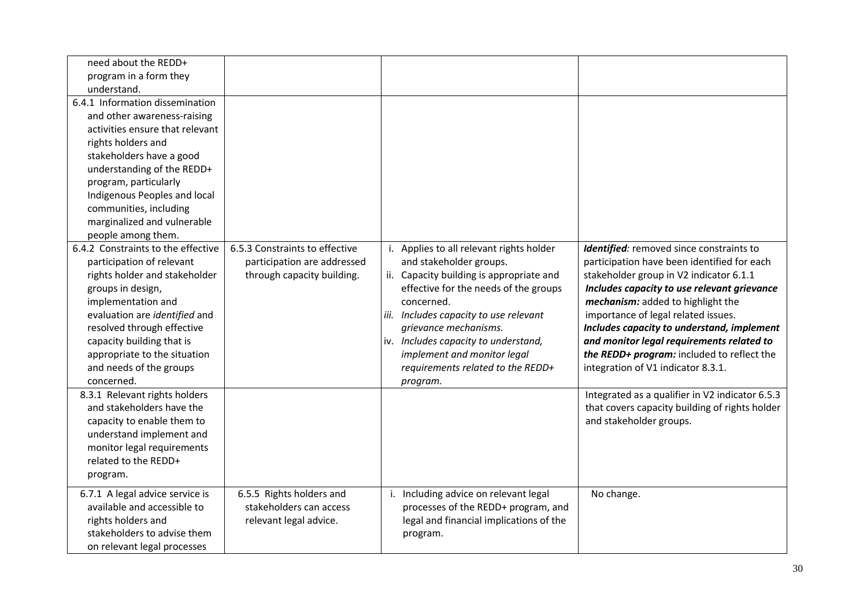| need about the REDD+               |                                |                                          |                                                 |
|------------------------------------|--------------------------------|------------------------------------------|-------------------------------------------------|
| program in a form they             |                                |                                          |                                                 |
| understand.                        |                                |                                          |                                                 |
| 6.4.1 Information dissemination    |                                |                                          |                                                 |
| and other awareness-raising        |                                |                                          |                                                 |
| activities ensure that relevant    |                                |                                          |                                                 |
| rights holders and                 |                                |                                          |                                                 |
| stakeholders have a good           |                                |                                          |                                                 |
| understanding of the REDD+         |                                |                                          |                                                 |
| program, particularly              |                                |                                          |                                                 |
| Indigenous Peoples and local       |                                |                                          |                                                 |
| communities, including             |                                |                                          |                                                 |
| marginalized and vulnerable        |                                |                                          |                                                 |
| people among them.                 |                                |                                          |                                                 |
| 6.4.2 Constraints to the effective | 6.5.3 Constraints to effective | i. Applies to all relevant rights holder | Identified: removed since constraints to        |
| participation of relevant          | participation are addressed    | and stakeholder groups.                  | participation have been identified for each     |
| rights holder and stakeholder      | through capacity building.     | ii. Capacity building is appropriate and | stakeholder group in V2 indicator 6.1.1         |
| groups in design,                  |                                | effective for the needs of the groups    | Includes capacity to use relevant grievance     |
| implementation and                 |                                | concerned.                               | mechanism: added to highlight the               |
| evaluation are identified and      |                                | iii. Includes capacity to use relevant   | importance of legal related issues.             |
| resolved through effective         |                                | grievance mechanisms.                    | Includes capacity to understand, implement      |
| capacity building that is          |                                | iv. Includes capacity to understand,     | and monitor legal requirements related to       |
| appropriate to the situation       |                                | implement and monitor legal              | the REDD+ program: included to reflect the      |
| and needs of the groups            |                                | requirements related to the REDD+        | integration of V1 indicator 8.3.1.              |
| concerned.                         |                                | program.                                 |                                                 |
| 8.3.1 Relevant rights holders      |                                |                                          | Integrated as a qualifier in V2 indicator 6.5.3 |
| and stakeholders have the          |                                |                                          | that covers capacity building of rights holder  |
| capacity to enable them to         |                                |                                          | and stakeholder groups.                         |
| understand implement and           |                                |                                          |                                                 |
| monitor legal requirements         |                                |                                          |                                                 |
| related to the REDD+               |                                |                                          |                                                 |
| program.                           |                                |                                          |                                                 |
| 6.7.1 A legal advice service is    | 6.5.5 Rights holders and       | i. Including advice on relevant legal    | No change.                                      |
| available and accessible to        | stakeholders can access        | processes of the REDD+ program, and      |                                                 |
| rights holders and                 | relevant legal advice.         | legal and financial implications of the  |                                                 |
| stakeholders to advise them        |                                | program.                                 |                                                 |
| on relevant legal processes        |                                |                                          |                                                 |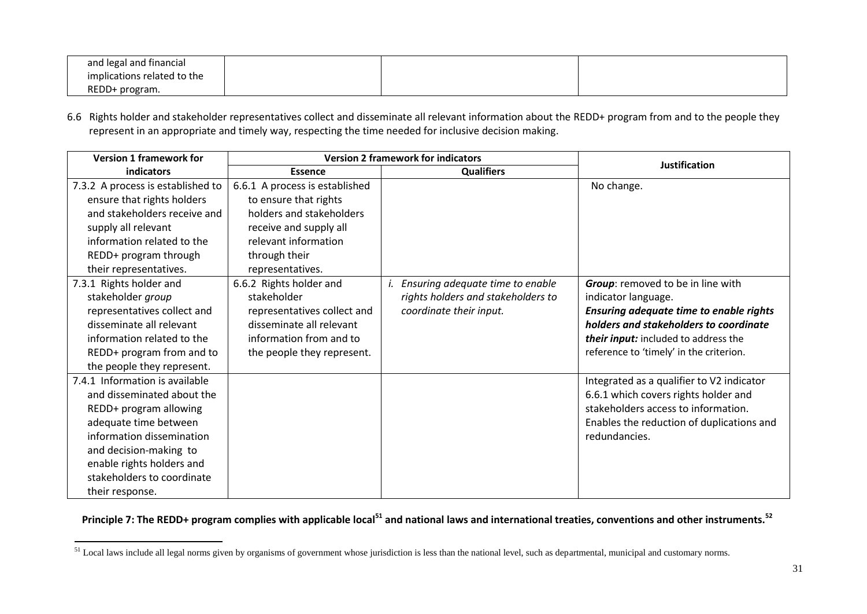| and legal and financial     |  |  |
|-----------------------------|--|--|
| implications related to the |  |  |
| REDD+<br>$\cdot$ program.   |  |  |

6.6 Rights holder and stakeholder representatives collect and disseminate all relevant information about the REDD+ program from and to the people they represent in an appropriate and timely way, respecting the time needed for inclusive decision making.

| <b>Version 1 framework for</b>                                                                                                                                                                                                                       | <b>Version 2 framework for indicators</b>                                                                                                                                  |                                                                                                   |                                                                                                                                                                                                                                         |
|------------------------------------------------------------------------------------------------------------------------------------------------------------------------------------------------------------------------------------------------------|----------------------------------------------------------------------------------------------------------------------------------------------------------------------------|---------------------------------------------------------------------------------------------------|-----------------------------------------------------------------------------------------------------------------------------------------------------------------------------------------------------------------------------------------|
| indicators                                                                                                                                                                                                                                           | <b>Essence</b>                                                                                                                                                             | <b>Qualifiers</b>                                                                                 | <b>Justification</b>                                                                                                                                                                                                                    |
| 7.3.2 A process is established to<br>ensure that rights holders<br>and stakeholders receive and<br>supply all relevant<br>information related to the<br>REDD+ program through<br>their representatives.                                              | 6.6.1 A process is established<br>to ensure that rights<br>holders and stakeholders<br>receive and supply all<br>relevant information<br>through their<br>representatives. |                                                                                                   | No change.                                                                                                                                                                                                                              |
| 7.3.1 Rights holder and<br>stakeholder group<br>representatives collect and<br>disseminate all relevant<br>information related to the<br>REDD+ program from and to<br>the people they represent.                                                     | 6.6.2 Rights holder and<br>stakeholder<br>representatives collect and<br>disseminate all relevant<br>information from and to<br>the people they represent.                 | Ensuring adequate time to enable<br>rights holders and stakeholders to<br>coordinate their input. | <b>Group:</b> removed to be in line with<br>indicator language.<br>Ensuring adequate time to enable rights<br>holders and stakeholders to coordinate<br>their input: included to address the<br>reference to 'timely' in the criterion. |
| 7.4.1 Information is available<br>and disseminated about the<br>REDD+ program allowing<br>adequate time between<br>information dissemination<br>and decision-making to<br>enable rights holders and<br>stakeholders to coordinate<br>their response. |                                                                                                                                                                            |                                                                                                   | Integrated as a qualifier to V2 indicator<br>6.6.1 which covers rights holder and<br>stakeholders access to information.<br>Enables the reduction of duplications and<br>redundancies.                                                  |

**Principle 7: The REDD+ program complies with applicable local<sup>51</sup> and national laws and international treaties, conventions and other instruments.<sup>52</sup>**

<sup>&</sup>lt;sup>51</sup> Local laws include all legal norms given by organisms of government whose jurisdiction is less than the national level, such as departmental, municipal and customary norms.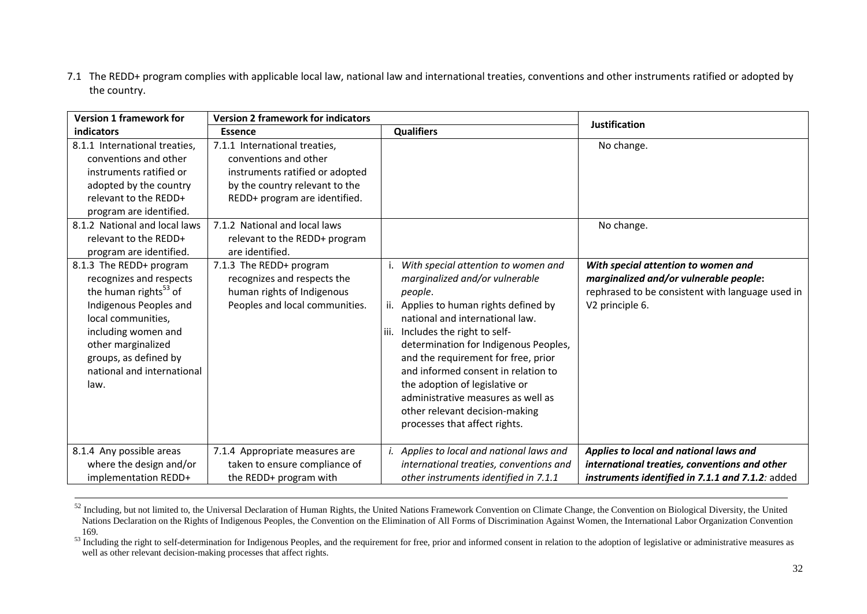7.1 The REDD+ program complies with applicable local law, national law and international treaties, conventions and other instruments ratified or adopted by the country.

| <b>Version 1 framework for</b>                                                                                                                                                                                                                                                                                                                                                                                                                                                                      | <b>Version 2 framework for indicators</b>                                                                                                                                                                                                                                                                                                                                   |                                                                                                                                                                                                                                                                                                                     | <b>Justification</b>                                                                                                                                                             |
|-----------------------------------------------------------------------------------------------------------------------------------------------------------------------------------------------------------------------------------------------------------------------------------------------------------------------------------------------------------------------------------------------------------------------------------------------------------------------------------------------------|-----------------------------------------------------------------------------------------------------------------------------------------------------------------------------------------------------------------------------------------------------------------------------------------------------------------------------------------------------------------------------|---------------------------------------------------------------------------------------------------------------------------------------------------------------------------------------------------------------------------------------------------------------------------------------------------------------------|----------------------------------------------------------------------------------------------------------------------------------------------------------------------------------|
| indicators                                                                                                                                                                                                                                                                                                                                                                                                                                                                                          | <b>Essence</b>                                                                                                                                                                                                                                                                                                                                                              | <b>Qualifiers</b>                                                                                                                                                                                                                                                                                                   |                                                                                                                                                                                  |
| 8.1.1 International treaties,<br>conventions and other<br>instruments ratified or<br>adopted by the country<br>relevant to the REDD+<br>program are identified.<br>8.1.2 National and local laws<br>relevant to the REDD+<br>program are identified.<br>8.1.3 The REDD+ program<br>recognizes and respects<br>the human rights <sup>53</sup> of<br>Indigenous Peoples and<br>local communities,<br>including women and<br>other marginalized<br>groups, as defined by<br>national and international | 7.1.1 International treaties,<br>conventions and other<br>instruments ratified or adopted<br>by the country relevant to the<br>REDD+ program are identified.<br>7.1.2 National and local laws<br>relevant to the REDD+ program<br>are identified.<br>7.1.3 The REDD+ program<br>recognizes and respects the<br>human rights of Indigenous<br>Peoples and local communities. | With special attention to women and<br>marginalized and/or vulnerable<br>people.<br>ii. Applies to human rights defined by<br>national and international law.<br>Includes the right to self-<br>determination for Indigenous Peoples,<br>and the requirement for free, prior<br>and informed consent in relation to | No change.<br>No change.<br>With special attention to women and<br>marginalized and/or vulnerable people:<br>rephrased to be consistent with language used in<br>V2 principle 6. |
| law.                                                                                                                                                                                                                                                                                                                                                                                                                                                                                                |                                                                                                                                                                                                                                                                                                                                                                             | the adoption of legislative or<br>administrative measures as well as<br>other relevant decision-making<br>processes that affect rights.                                                                                                                                                                             |                                                                                                                                                                                  |
| 8.1.4 Any possible areas<br>where the design and/or<br>implementation REDD+                                                                                                                                                                                                                                                                                                                                                                                                                         | 7.1.4 Appropriate measures are<br>taken to ensure compliance of<br>the REDD+ program with                                                                                                                                                                                                                                                                                   | i. Applies to local and national laws and<br>international treaties, conventions and<br>other instruments identified in 7.1.1                                                                                                                                                                                       | Applies to local and national laws and<br>international treaties, conventions and other<br>instruments identified in 7.1.1 and 7.1.2: added                                      |

<sup>&</sup>lt;sup>52</sup> Including, but not limited to, the Universal Declaration of Human Rights, the United Nations Framework Convention on Climate Change, the Convention on Biological Diversity, the United Nations Declaration on the Rights of Indigenous Peoples, the Convention on the Elimination of All Forms of Discrimination Against Women, the International Labor Organization Convention 169.

<sup>&</sup>lt;sup>53</sup> Including the right to self-determination for Indigenous Peoples, and the requirement for free, prior and informed consent in relation to the adoption of legislative or administrative measures as well as other relevant decision-making processes that affect rights.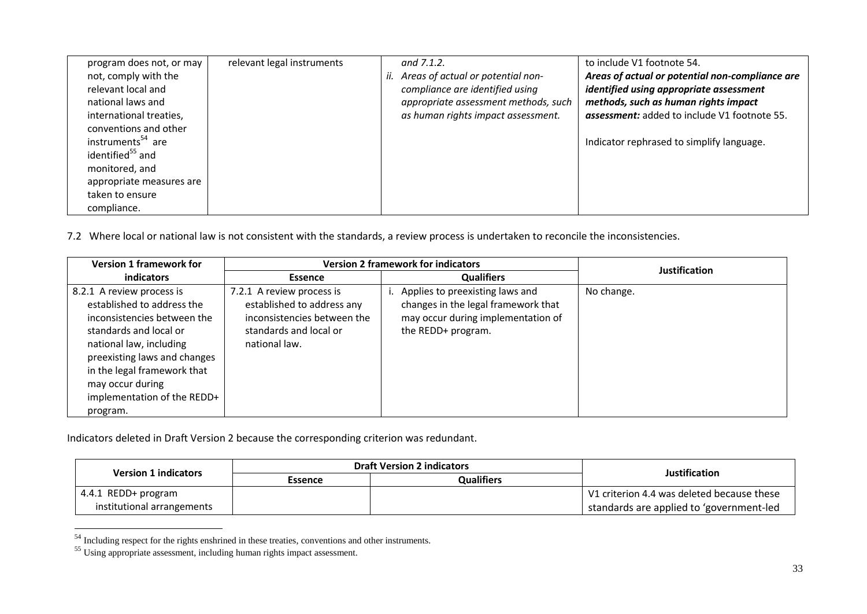| program does not, or may      | relevant legal instruments | and $7.1.2$ .                         | to include V1 footnote 54.                          |
|-------------------------------|----------------------------|---------------------------------------|-----------------------------------------------------|
| not, comply with the          |                            | ii. Areas of actual or potential non- | Areas of actual or potential non-compliance are     |
| relevant local and            |                            | compliance are identified using       | identified using appropriate assessment             |
| national laws and             |                            | appropriate assessment methods, such  | methods, such as human rights impact                |
| international treaties,       |                            | as human rights impact assessment.    | <b>assessment:</b> added to include V1 footnote 55. |
| conventions and other         |                            |                                       |                                                     |
| instruments <sup>54</sup> are |                            |                                       | Indicator rephrased to simplify language.           |
| identified <sup>55</sup> and  |                            |                                       |                                                     |
| monitored, and                |                            |                                       |                                                     |
| appropriate measures are      |                            |                                       |                                                     |
| taken to ensure               |                            |                                       |                                                     |
| compliance.                   |                            |                                       |                                                     |

7.2 Where local or national law is not consistent with the standards, a review process is undertaken to reconcile the inconsistencies.

| <b>Version 1 framework for</b>                                                                                                                                                                                                                                            | <b>Version 2 framework for indicators</b>                                                                                         |                                                                                                                                    | <b>Justification</b> |
|---------------------------------------------------------------------------------------------------------------------------------------------------------------------------------------------------------------------------------------------------------------------------|-----------------------------------------------------------------------------------------------------------------------------------|------------------------------------------------------------------------------------------------------------------------------------|----------------------|
| indicators                                                                                                                                                                                                                                                                | Essence                                                                                                                           | <b>Qualifiers</b>                                                                                                                  |                      |
| 8.2.1 A review process is<br>established to address the<br>inconsistencies between the<br>standards and local or<br>national law, including<br>preexisting laws and changes<br>in the legal framework that<br>may occur during<br>implementation of the REDD+<br>program. | 7.2.1 A review process is<br>established to address any<br>inconsistencies between the<br>standards and local or<br>national law. | Applies to preexisting laws and<br>changes in the legal framework that<br>may occur during implementation of<br>the REDD+ program. | No change.           |

Indicators deleted in Draft Version 2 because the corresponding criterion was redundant.

| <b>Version 1 indicators</b> | <b>Draft Version 2 indicators</b> |                   | Justification                              |
|-----------------------------|-----------------------------------|-------------------|--------------------------------------------|
|                             | Essence                           | <b>Qualifiers</b> |                                            |
| 4.4.1 REDD+ program         |                                   |                   | V1 criterion 4.4 was deleted because these |
| institutional arrangements  |                                   |                   | standards are applied to 'government-led   |

<sup>&</sup>lt;sup>54</sup> Including respect for the rights enshrined in these treaties, conventions and other instruments.

<sup>&</sup>lt;sup>55</sup> Using appropriate assessment, including human rights impact assessment.